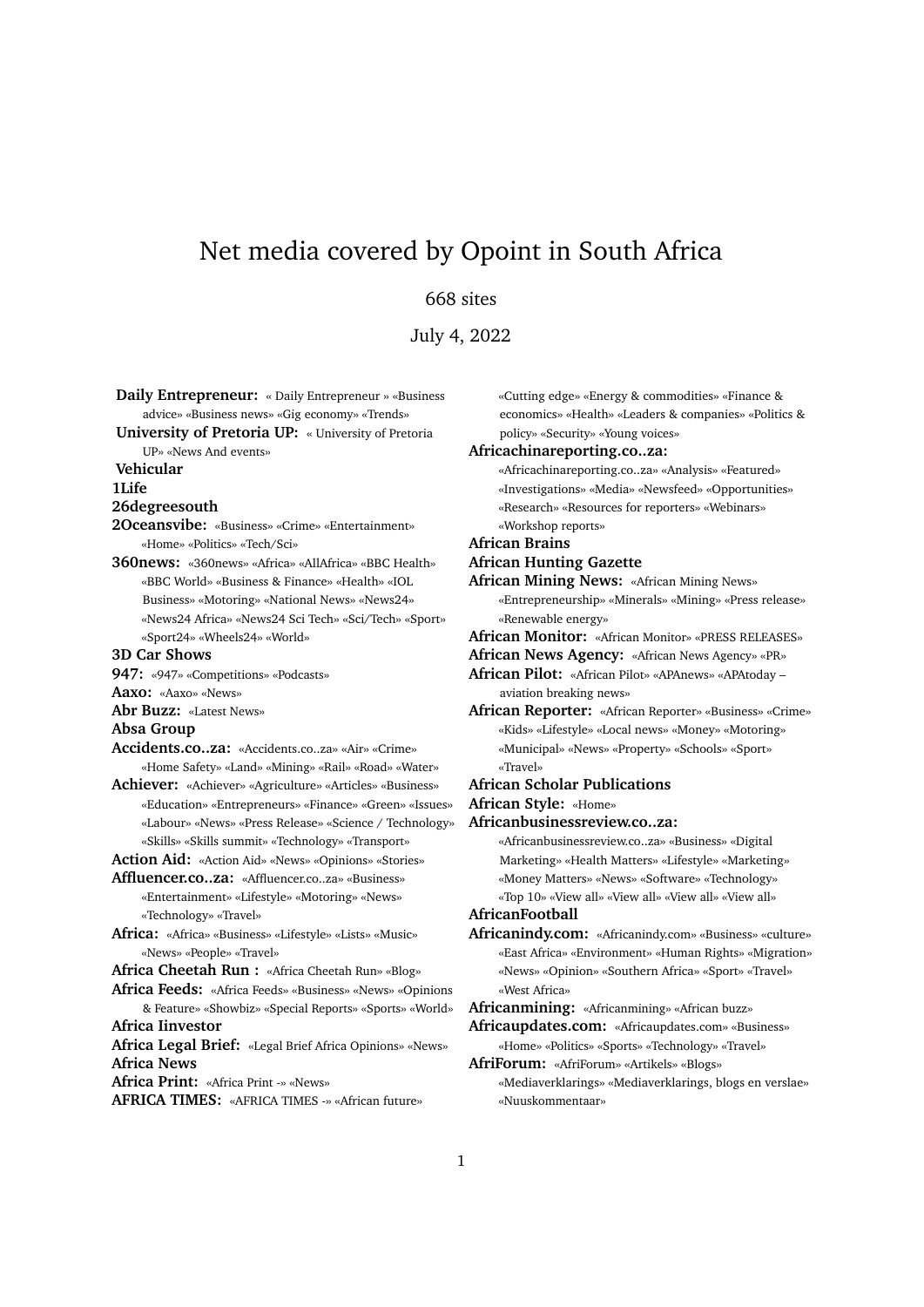# Net media covered by Opoint in South Africa

# 668 sites

July 4, 2022

**Daily Entrepreneur:** « Daily Entrepreneur » «Business advice» «Business news» «Gig economy» «Trends» **University of Pretoria UP:** « University of Pretoria UP» «News And events» **Vehicular 1Life 26degreesouth 2Oceansvibe:** «Business» «Crime» «Entertainment» «Home» «Politics» «Tech/Sci» **360news:** «360news» «Africa» «AllAfrica» «BBC Health» «BBC World» «Business & Finance» «Health» «IOL Business» «Motoring» «National News» «News24» «News24 Africa» «News24 Sci Tech» «Sci/Tech» «Sport» «Sport24» «Wheels24» «World» **3D Car Shows 947:** «947» «Competitions» «Podcasts» **Aaxo:** «Aaxo» «News» **Abr Buzz:** «Latest News» **Absa Group Accidents.co..za:** «Accidents.co..za» «Air» «Crime» «Home Safety» «Land» «Mining» «Rail» «Road» «Water» **Achiever:** «Achiever» «Agriculture» «Articles» «Business» «Education» «Entrepreneurs» «Finance» «Green» «Issues» «Labour» «News» «Press Release» «Science / Technology» «Skills» «Skills summit» «Technology» «Transport» **Action Aid:** «Action Aid» «News» «Opinions» «Stories» **Affluencer.co..za:** «Affluencer.co..za» «Business» «Entertainment» «Lifestyle» «Motoring» «News» «Technology» «Travel» **Africa:** «Africa» «Business» «Lifestyle» «Lists» «Music» «News» «People» «Travel» **Africa Cheetah Run :** «Africa Cheetah Run» «Blog» **Africa Feeds:** «Africa Feeds» «Business» «News» «Opinions & Feature» «Showbiz» «Special Reports» «Sports» «World» **Africa Iinvestor Africa Legal Brief:** «Legal Brief Africa Opinions» «News» **Africa News Africa Print:** «Africa Print -» «News» **AFRICA TIMES:** «AFRICA TIMES -» «African future»

«Cutting edge» «Energy & commodities» «Finance & economics» «Health» «Leaders & companies» «Politics & policy» «Security» «Young voices» **Africachinareporting.co..za:**

«Africachinareporting.co..za» «Analysis» «Featured» «Investigations» «Media» «Newsfeed» «Opportunities» «Research» «Resources for reporters» «Webinars» «Workshop reports»

**African Brains**

#### **African Hunting Gazette**

**African Mining News:** «African Mining News» «Entrepreneurship» «Minerals» «Mining» «Press release» «Renewable energy»

- **African Monitor:** «African Monitor» «PRESS RELEASES»
- **African News Agency:** «African News Agency» «PR»

**African Pilot:** «African Pilot» «APAnews» «APAtoday – aviation breaking news»

**African Reporter:** «African Reporter» «Business» «Crime» «Kids» «Lifestyle» «Local news» «Money» «Motoring» «Municipal» «News» «Property» «Schools» «Sport» «Travel»

#### **African Scholar Publications**

**African Style:** «Home»

**Africanbusinessreview.co..za:**

«Africanbusinessreview.co..za» «Business» «Digital Marketing» «Health Matters» «Lifestyle» «Marketing» «Money Matters» «News» «Software» «Technology» «Top 10» «View all» «View all» «View all» «View all»

**AfricanFootball**

**Africanindy.com:** «Africanindy.com» «Business» «culture» «East Africa» «Environment» «Human Rights» «Migration» «News» «Opinion» «Southern Africa» «Sport» «Travel» «West Africa»

**Africanmining:** «Africanmining» «African buzz»

**Africaupdates.com:** «Africaupdates.com» «Business» «Home» «Politics» «Sports» «Technology» «Travel»

**AfriForum:** «AfriForum» «Artikels» «Blogs» «Mediaverklarings» «Mediaverklarings, blogs en verslae» «Nuuskommentaar»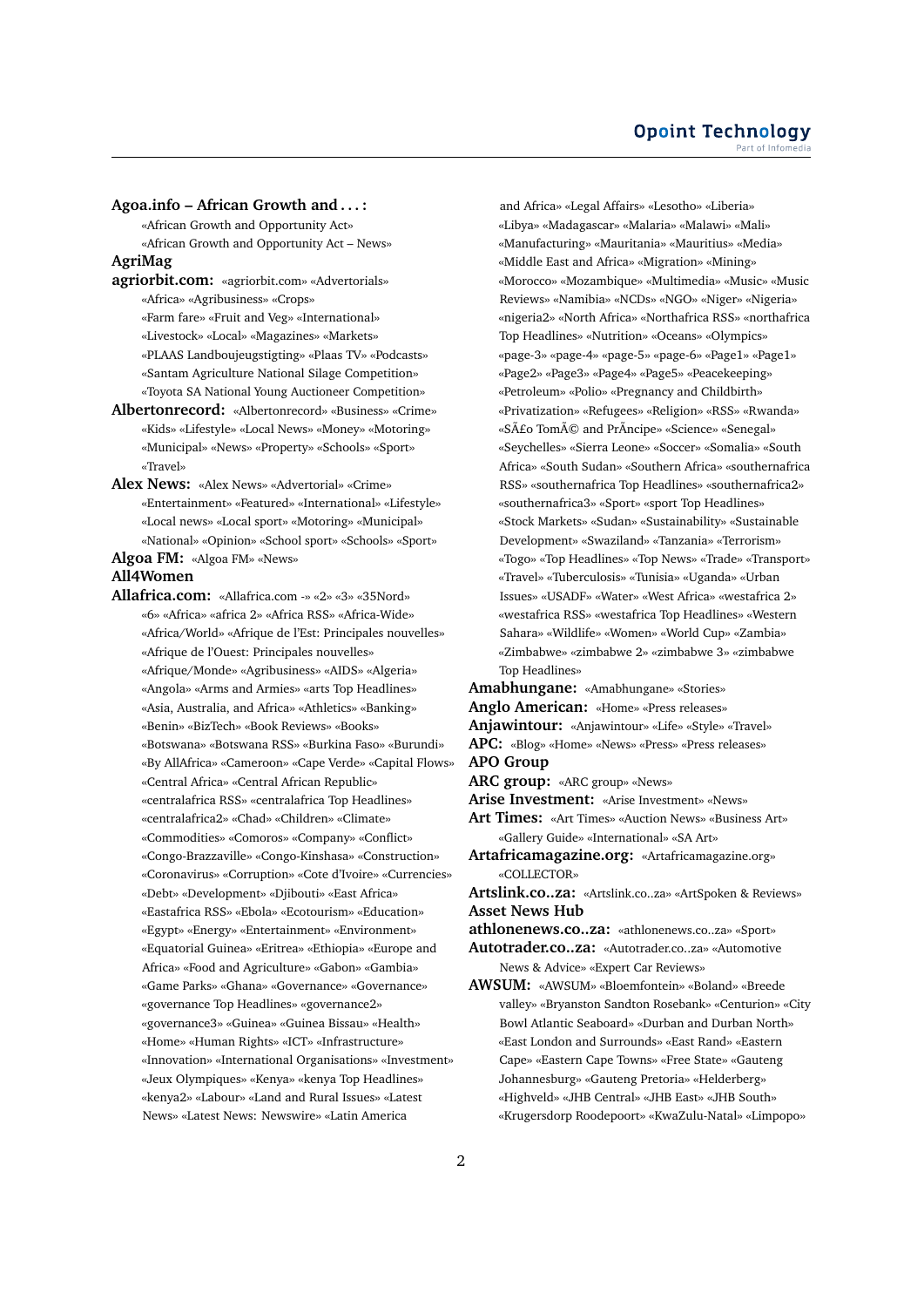### **Agoa.info – African Growth and . . . :**

«African Growth and Opportunity Act» «African Growth and Opportunity Act – News»

# **AgriMag**

**agriorbit.com:** «agriorbit.com» «Advertorials» «Africa» «Agribusiness» «Crops» «Farm fare» «Fruit and Veg» «International» «Livestock» «Local» «Magazines» «Markets» «PLAAS Landboujeugstigting» «Plaas TV» «Podcasts» «Santam Agriculture National Silage Competition» «Toyota SA National Young Auctioneer Competition»

- **Albertonrecord:** «Albertonrecord» «Business» «Crime» «Kids» «Lifestyle» «Local News» «Money» «Motoring» «Municipal» «News» «Property» «Schools» «Sport» «Travel»
- **Alex News:** «Alex News» «Advertorial» «Crime» «Entertainment» «Featured» «International» «Lifestyle» «Local news» «Local sport» «Motoring» «Municipal» «National» «Opinion» «School sport» «Schools» «Sport»

**Algoa FM:** «Algoa FM» «News»

### **All4Women**

**Allafrica.com:** «Allafrica.com -» «2» «3» «35Nord» «6» «Africa» «africa 2» «Africa RSS» «Africa-Wide» «Africa/World» «Afrique de l'Est: Principales nouvelles» «Afrique de l'Ouest: Principales nouvelles» «Afrique/Monde» «Agribusiness» «AIDS» «Algeria» «Angola» «Arms and Armies» «arts Top Headlines» «Asia, Australia, and Africa» «Athletics» «Banking» «Benin» «BizTech» «Book Reviews» «Books» «Botswana» «Botswana RSS» «Burkina Faso» «Burundi» «By AllAfrica» «Cameroon» «Cape Verde» «Capital Flows» «Central Africa» «Central African Republic» «centralafrica RSS» «centralafrica Top Headlines» «centralafrica2» «Chad» «Children» «Climate» «Commodities» «Comoros» «Company» «Conflict» «Congo-Brazzaville» «Congo-Kinshasa» «Construction» «Coronavirus» «Corruption» «Cote d'Ivoire» «Currencies» «Debt» «Development» «Djibouti» «East Africa» «Eastafrica RSS» «Ebola» «Ecotourism» «Education» «Egypt» «Energy» «Entertainment» «Environment» «Equatorial Guinea» «Eritrea» «Ethiopia» «Europe and Africa» «Food and Agriculture» «Gabon» «Gambia» «Game Parks» «Ghana» «Governance» «Governance» «governance Top Headlines» «governance2» «governance3» «Guinea» «Guinea Bissau» «Health» «Home» «Human Rights» «ICT» «Infrastructure» «Innovation» «International Organisations» «Investment» «Jeux Olympiques» «Kenya» «kenya Top Headlines» «kenya2» «Labour» «Land and Rural Issues» «Latest News» «Latest News: Newswire» «Latin America

and Africa» «Legal Affairs» «Lesotho» «Liberia» «Libya» «Madagascar» «Malaria» «Malawi» «Mali» «Manufacturing» «Mauritania» «Mauritius» «Media» «Middle East and Africa» «Migration» «Mining» «Morocco» «Mozambique» «Multimedia» «Music» «Music Reviews» «Namibia» «NCDs» «NGO» «Niger» «Nigeria» «nigeria2» «North Africa» «Northafrica RSS» «northafrica Top Headlines» «Nutrition» «Oceans» «Olympics» «page-3» «page-4» «page-5» «page-6» «Page1» «Page1» «Page2» «Page3» «Page4» «Page5» «Peacekeeping» «Petroleum» «Polio» «Pregnancy and Childbirth» «Privatization» «Refugees» «Religion» «RSS» «Rwanda» «São Tomé and PrÃncipe» «Science» «Senegal» «Seychelles» «Sierra Leone» «Soccer» «Somalia» «South Africa» «South Sudan» «Southern Africa» «southernafrica RSS» «southernafrica Top Headlines» «southernafrica2» «southernafrica3» «Sport» «sport Top Headlines» «Stock Markets» «Sudan» «Sustainability» «Sustainable Development» «Swaziland» «Tanzania» «Terrorism» «Togo» «Top Headlines» «Top News» «Trade» «Transport» «Travel» «Tuberculosis» «Tunisia» «Uganda» «Urban Issues» «USADF» «Water» «West Africa» «westafrica 2» «westafrica RSS» «westafrica Top Headlines» «Western Sahara» «Wildlife» «Women» «World Cup» «Zambia» «Zimbabwe» «zimbabwe 2» «zimbabwe 3» «zimbabwe Top Headlines»

**Amabhungane:** «Amabhungane» «Stories» **Anglo American:** «Home» «Press releases» **Anjawintour:** «Anjawintour» «Life» «Style» «Travel» **APC:** «Blog» «Home» «News» «Press» «Press releases» **APO Group ARC group:** «ARC group» «News» **Arise Investment:** «Arise Investment» «News» **Art Times:** «Art Times» «Auction News» «Business Art» «Gallery Guide» «International» «SA Art» **Artafricamagazine.org:** «Artafricamagazine.org» «COLLECTOR» **Artslink.co..za:** «Artslink.co..za» «ArtSpoken & Reviews» **Asset News Hub athlonenews.co..za:** «athlonenews.co..za» «Sport» **Autotrader.co..za:** «Autotrader.co..za» «Automotive News & Advice» «Expert Car Reviews» **AWSUM:** «AWSUM» «Bloemfontein» «Boland» «Breede

valley» «Bryanston Sandton Rosebank» «Centurion» «City Bowl Atlantic Seaboard» «Durban and Durban North» «East London and Surrounds» «East Rand» «Eastern Cape» «Eastern Cape Towns» «Free State» «Gauteng Johannesburg» «Gauteng Pretoria» «Helderberg» «Highveld» «JHB Central» «JHB East» «JHB South» «Krugersdorp Roodepoort» «KwaZulu-Natal» «Limpopo»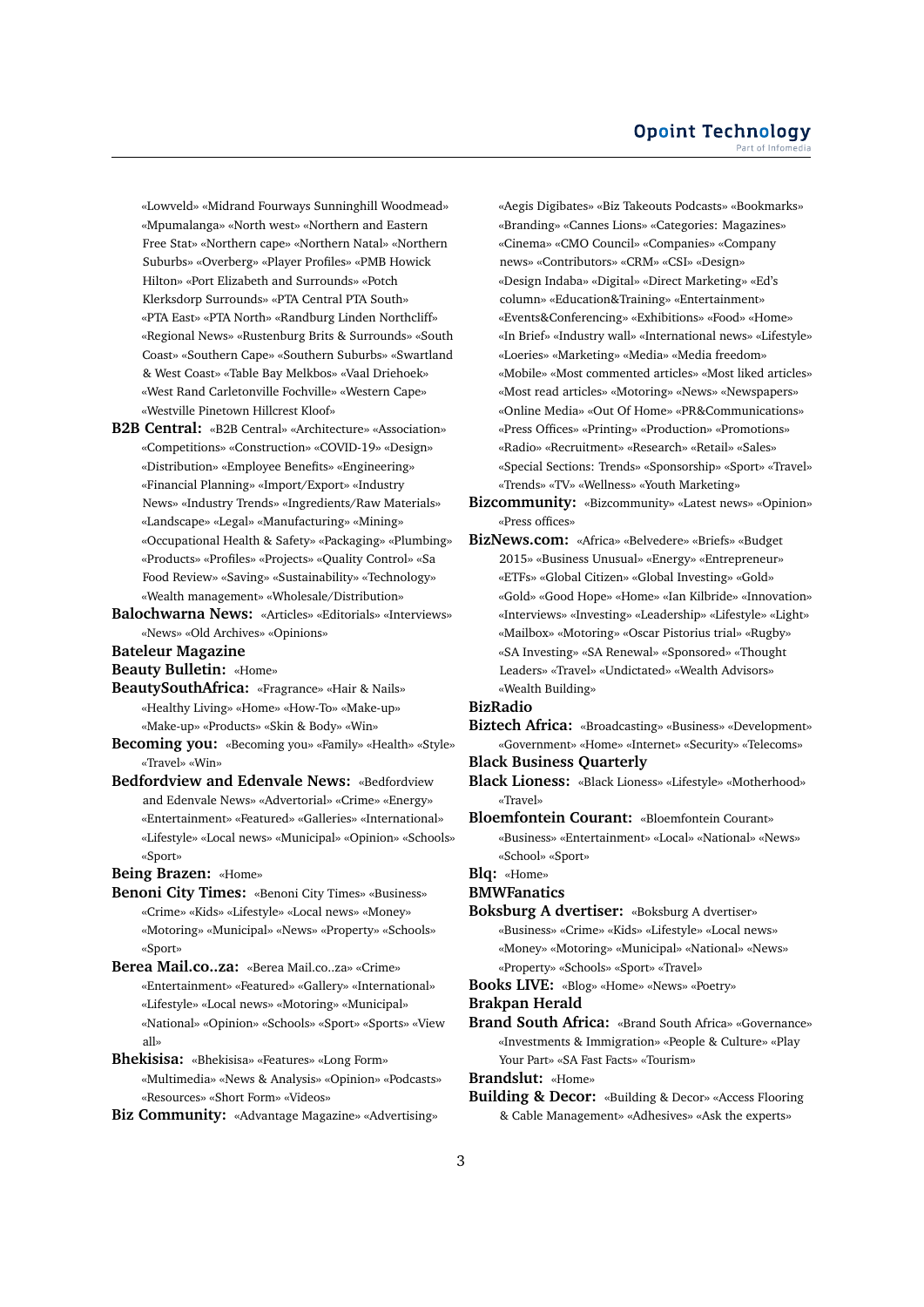«Lowveld» «Midrand Fourways Sunninghill Woodmead» «Mpumalanga» «North west» «Northern and Eastern Free Stat» «Northern cape» «Northern Natal» «Northern Suburbs» «Overberg» «Player Profiles» «PMB Howick Hilton» «Port Elizabeth and Surrounds» «Potch Klerksdorp Surrounds» «PTA Central PTA South» «PTA East» «PTA North» «Randburg Linden Northcliff» «Regional News» «Rustenburg Brits & Surrounds» «South Coast» «Southern Cape» «Southern Suburbs» «Swartland & West Coast» «Table Bay Melkbos» «Vaal Driehoek» «West Rand Carletonville Fochville» «Western Cape» «Westville Pinetown Hillcrest Kloof»

- **B2B Central:** «B2B Central» «Architecture» «Association» «Competitions» «Construction» «COVID-19» «Design» «Distribution» «Employee Benefits» «Engineering» «Financial Planning» «Import/Export» «Industry News» «Industry Trends» «Ingredients/Raw Materials» «Landscape» «Legal» «Manufacturing» «Mining» «Occupational Health & Safety» «Packaging» «Plumbing» «Products» «Profiles» «Projects» «Quality Control» «Sa Food Review» «Saving» «Sustainability» «Technology» «Wealth management» «Wholesale/Distribution»
- **Balochwarna News:** «Articles» «Editorials» «Interviews» «News» «Old Archives» «Opinions»

**Bateleur Magazine**

**Beauty Bulletin:** «Home»

- **BeautySouthAfrica:** «Fragrance» «Hair & Nails» «Healthy Living» «Home» «How-To» «Make-up» «Make-up» «Products» «Skin & Body» «Win»
- **Becoming you:** «Becoming you» «Family» «Health» «Style» «Travel» «Win»
- **Bedfordview and Edenvale News:** «Bedfordview and Edenvale News» «Advertorial» «Crime» «Energy» «Entertainment» «Featured» «Galleries» «International» «Lifestyle» «Local news» «Municipal» «Opinion» «Schools» «Sport»

**Being Brazen:** «Home»

- **Benoni City Times:** «Benoni City Times» «Business» «Crime» «Kids» «Lifestyle» «Local news» «Money» «Motoring» «Municipal» «News» «Property» «Schools» «Sport»
- **Berea Mail.co..za:** «Berea Mail.co..za» «Crime» «Entertainment» «Featured» «Gallery» «International» «Lifestyle» «Local news» «Motoring» «Municipal» «National» «Opinion» «Schools» «Sport» «Sports» «View all»
- **Bhekisisa:** «Bhekisisa» «Features» «Long Form» «Multimedia» «News & Analysis» «Opinion» «Podcasts» «Resources» «Short Form» «Videos»
- **Biz Community:** «Advantage Magazine» «Advertising»

«Aegis Digibates» «Biz Takeouts Podcasts» «Bookmarks» «Branding» «Cannes Lions» «Categories: Magazines» «Cinema» «CMO Council» «Companies» «Company news» «Contributors» «CRM» «CSI» «Design» «Design Indaba» «Digital» «Direct Marketing» «Ed's column» «Education&Training» «Entertainment» «Events&Conferencing» «Exhibitions» «Food» «Home» «In Brief» «Industry wall» «International news» «Lifestyle» «Loeries» «Marketing» «Media» «Media freedom» «Mobile» «Most commented articles» «Most liked articles» «Most read articles» «Motoring» «News» «Newspapers» «Online Media» «Out Of Home» «PR&Communications» «Press Offices» «Printing» «Production» «Promotions» «Radio» «Recruitment» «Research» «Retail» «Sales» «Special Sections: Trends» «Sponsorship» «Sport» «Travel» «Trends» «TV» «Wellness» «Youth Marketing»

**Bizcommunity:** «Bizcommunity» «Latest news» «Opinion» «Press offices»

**BizNews.com:** «Africa» «Belvedere» «Briefs» «Budget 2015» «Business Unusual» «Energy» «Entrepreneur» «ETFs» «Global Citizen» «Global Investing» «Gold» «Gold» «Good Hope» «Home» «Ian Kilbride» «Innovation» «Interviews» «Investing» «Leadership» «Lifestyle» «Light» «Mailbox» «Motoring» «Oscar Pistorius trial» «Rugby» «SA Investing» «SA Renewal» «Sponsored» «Thought Leaders» «Travel» «Undictated» «Wealth Advisors» «Wealth Building»

# **BizRadio**

**Biztech Africa:** «Broadcasting» «Business» «Development» «Government» «Home» «Internet» «Security» «Telecoms»

**Black Business Quarterly**

**Black Lioness:** «Black Lioness» «Lifestyle» «Motherhood» «Travel»

**Bloemfontein Courant:** «Bloemfontein Courant» «Business» «Entertainment» «Local» «National» «News» «School» «Sport»

# **Blq:** «Home»

**BMWFanatics**

**Boksburg A dvertiser:** «Boksburg A dvertiser» «Business» «Crime» «Kids» «Lifestyle» «Local news» «Money» «Motoring» «Municipal» «National» «News» «Property» «Schools» «Sport» «Travel»

**Books LIVE:** «Blog» «Home» «News» «Poetry»

- **Brakpan Herald**
- **Brand South Africa:** «Brand South Africa» «Governance» «Investments & Immigration» «People & Culture» «Play Your Part» «SA Fast Facts» «Tourism»

**Brandslut:** «Home»

**Building & Decor:** «Building & Decor» «Access Flooring & Cable Management» «Adhesives» «Ask the experts»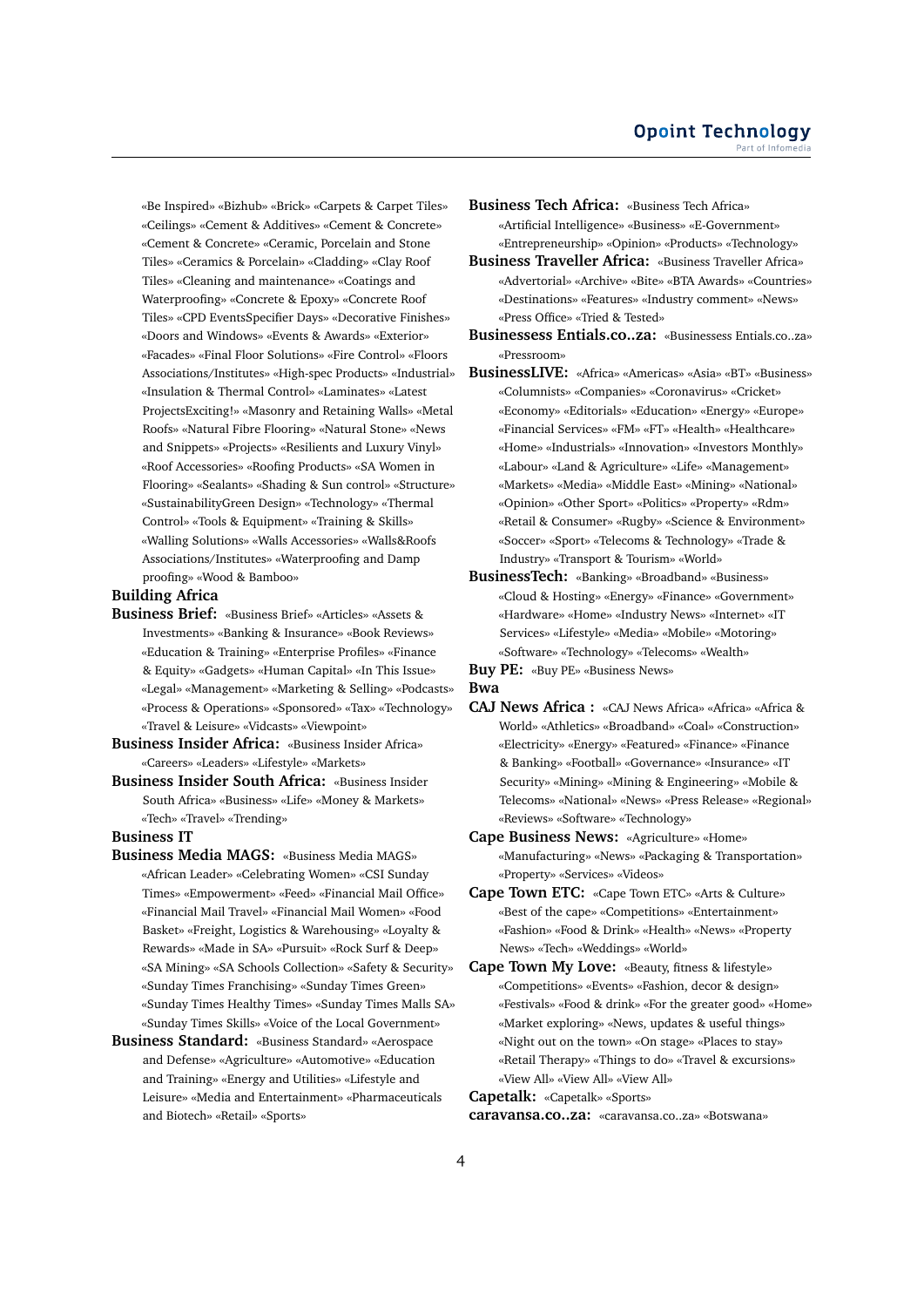«Be Inspired» «Bizhub» «Brick» «Carpets & Carpet Tiles» «Ceilings» «Cement & Additives» «Cement & Concrete» «Cement & Concrete» «Ceramic, Porcelain and Stone Tiles» «Ceramics & Porcelain» «Cladding» «Clay Roof Tiles» «Cleaning and maintenance» «Coatings and Waterproofing» «Concrete & Epoxy» «Concrete Roof Tiles» «CPD EventsSpecifier Days» «Decorative Finishes» «Doors and Windows» «Events & Awards» «Exterior» «Facades» «Final Floor Solutions» «Fire Control» «Floors Associations/Institutes» «High-spec Products» «Industrial» «Insulation & Thermal Control» «Laminates» «Latest ProjectsExciting!» «Masonry and Retaining Walls» «Metal Roofs» «Natural Fibre Flooring» «Natural Stone» «News and Snippets» «Projects» «Resilients and Luxury Vinyl» «Roof Accessories» «Roofing Products» «SA Women in Flooring» «Sealants» «Shading & Sun control» «Structure» «SustainabilityGreen Design» «Technology» «Thermal Control» «Tools & Equipment» «Training & Skills» «Walling Solutions» «Walls Accessories» «Walls&Roofs Associations/Institutes» «Waterproofing and Damp proofing» «Wood & Bamboo»

### **Building Africa**

- **Business Brief:** «Business Brief» «Articles» «Assets & Investments» «Banking & Insurance» «Book Reviews» «Education & Training» «Enterprise Profiles» «Finance & Equity» «Gadgets» «Human Capital» «In This Issue» «Legal» «Management» «Marketing & Selling» «Podcasts» «Process & Operations» «Sponsored» «Tax» «Technology» «Travel & Leisure» «Vidcasts» «Viewpoint»
- **Business Insider Africa:** «Business Insider Africa» «Careers» «Leaders» «Lifestyle» «Markets»
- **Business Insider South Africa:** «Business Insider South Africa» «Business» «Life» «Money & Markets» «Tech» «Travel» «Trending»

#### **Business IT**

- **Business Media MAGS:** «Business Media MAGS» «African Leader» «Celebrating Women» «CSI Sunday Times» «Empowerment» «Feed» «Financial Mail Office» «Financial Mail Travel» «Financial Mail Women» «Food Basket» «Freight, Logistics & Warehousing» «Loyalty & Rewards» «Made in SA» «Pursuit» «Rock Surf & Deep» «SA Mining» «SA Schools Collection» «Safety & Security» «Sunday Times Franchising» «Sunday Times Green» «Sunday Times Healthy Times» «Sunday Times Malls SA» «Sunday Times Skills» «Voice of the Local Government»
- **Business Standard:** «Business Standard» «Aerospace and Defense» «Agriculture» «Automotive» «Education and Training» «Energy and Utilities» «Lifestyle and Leisure» «Media and Entertainment» «Pharmaceuticals and Biotech» «Retail» «Sports»
- **Business Tech Africa:** «Business Tech Africa» «Artificial Intelligence» «Business» «E-Government» «Entrepreneurship» «Opinion» «Products» «Technology»
- **Business Traveller Africa:** «Business Traveller Africa» «Advertorial» «Archive» «Bite» «BTA Awards» «Countries» «Destinations» «Features» «Industry comment» «News» «Press Office» «Tried & Tested»
- **Businessess Entials.co..za:** «Businessess Entials.co..za» «Pressroom»
- **BusinessLIVE:** «Africa» «Americas» «Asia» «BT» «Business» «Columnists» «Companies» «Coronavirus» «Cricket» «Economy» «Editorials» «Education» «Energy» «Europe» «Financial Services» «FM» «FT» «Health» «Healthcare» «Home» «Industrials» «Innovation» «Investors Monthly» «Labour» «Land & Agriculture» «Life» «Management» «Markets» «Media» «Middle East» «Mining» «National» «Opinion» «Other Sport» «Politics» «Property» «Rdm» «Retail & Consumer» «Rugby» «Science & Environment» «Soccer» «Sport» «Telecoms & Technology» «Trade & Industry» «Transport & Tourism» «World»
- **BusinessTech:** «Banking» «Broadband» «Business» «Cloud & Hosting» «Energy» «Finance» «Government» «Hardware» «Home» «Industry News» «Internet» «IT Services» «Lifestyle» «Media» «Mobile» «Motoring» «Software» «Technology» «Telecoms» «Wealth»

**Buy PE:** «Buy PE» «Business News» **Bwa**

- **CAJ News Africa :** «CAJ News Africa» «Africa» «Africa & World» «Athletics» «Broadband» «Coal» «Construction» «Electricity» «Energy» «Featured» «Finance» «Finance & Banking» «Football» «Governance» «Insurance» «IT Security» «Mining» «Mining & Engineering» «Mobile & Telecoms» «National» «News» «Press Release» «Regional» «Reviews» «Software» «Technology»
- **Cape Business News:** «Agriculture» «Home» «Manufacturing» «News» «Packaging & Transportation» «Property» «Services» «Videos»
- **Cape Town ETC:** «Cape Town ETC» «Arts & Culture» «Best of the cape» «Competitions» «Entertainment» «Fashion» «Food & Drink» «Health» «News» «Property News» «Tech» «Weddings» «World»
- **Cape Town My Love:** «Beauty, fitness & lifestyle» «Competitions» «Events» «Fashion, decor & design» «Festivals» «Food & drink» «For the greater good» «Home» «Market exploring» «News, updates & useful things» «Night out on the town» «On stage» «Places to stay» «Retail Therapy» «Things to do» «Travel & excursions» «View All» «View All» «View All»

**Capetalk:** «Capetalk» «Sports»

**caravansa.co..za:** «caravansa.co..za» «Botswana»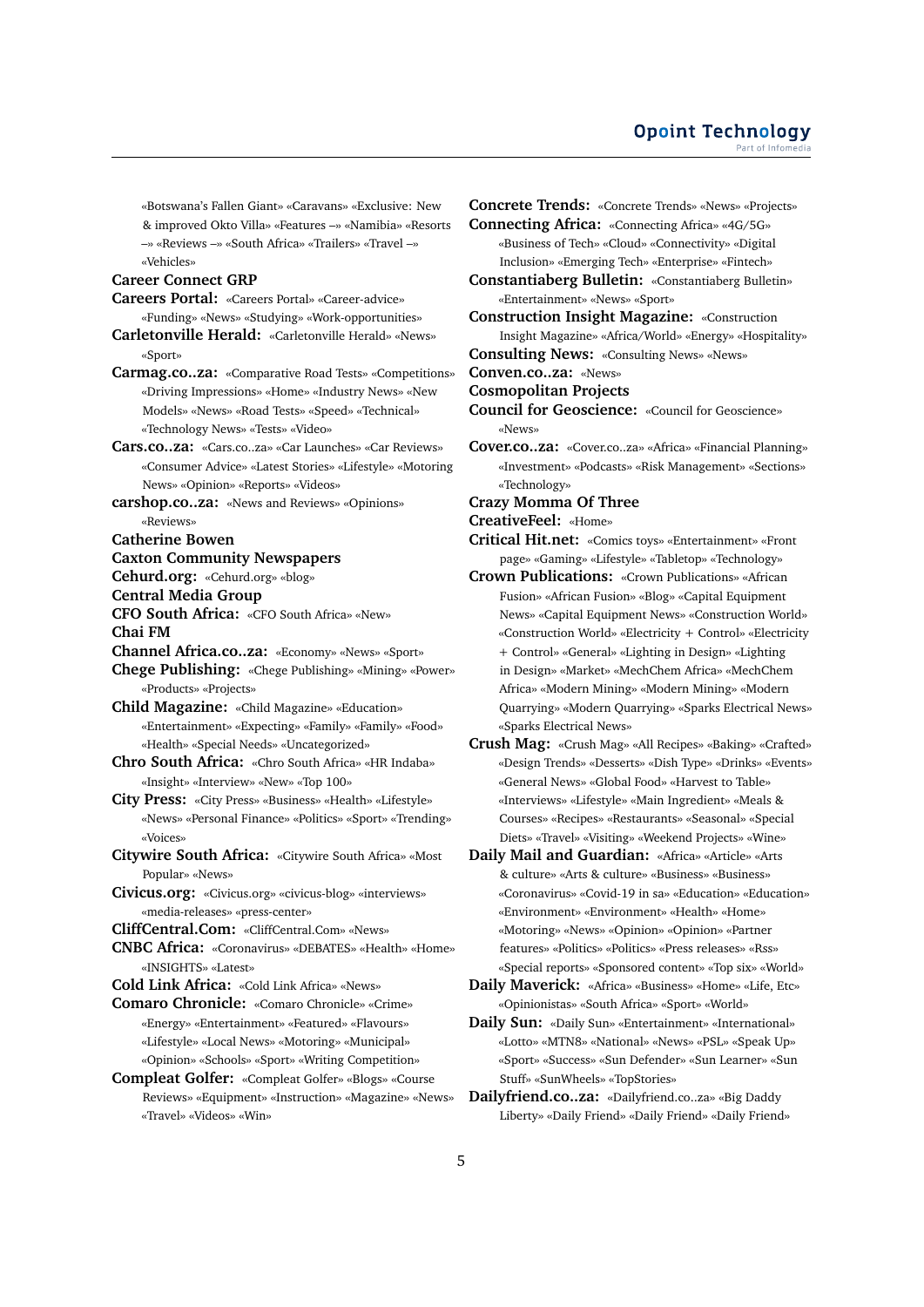«Botswana's Fallen Giant» «Caravans» «Exclusive: New & improved Okto Villa» «Features –» «Namibia» «Resorts –» «Reviews –» «South Africa» «Trailers» «Travel –» «Vehicles»

### **Career Connect GRP**

- **Careers Portal:** «Careers Portal» «Career-advice»
- «Funding» «News» «Studying» «Work-opportunities»
- **Carletonville Herald:** «Carletonville Herald» «News» «Sport»
- **Carmag.co..za:** «Comparative Road Tests» «Competitions» «Driving Impressions» «Home» «Industry News» «New Models» «News» «Road Tests» «Speed» «Technical» «Technology News» «Tests» «Video»
- **Cars.co..za:** «Cars.co..za» «Car Launches» «Car Reviews» «Consumer Advice» «Latest Stories» «Lifestyle» «Motoring News» «Opinion» «Reports» «Videos»
- **carshop.co..za:** «News and Reviews» «Opinions» «Reviews»

**Catherine Bowen**

#### **Caxton Community Newspapers**

- **Cehurd.org:** «Cehurd.org» «blog»
- **Central Media Group**
- **CFO South Africa:** «CFO South Africa» «New» **Chai FM**
- **Channel Africa.co..za:** «Economy» «News» «Sport»
- **Chege Publishing:** «Chege Publishing» «Mining» «Power» «Products» «Projects»
- **Child Magazine:** «Child Magazine» «Education» «Entertainment» «Expecting» «Family» «Family» «Food» «Health» «Special Needs» «Uncategorized»
- **Chro South Africa:** «Chro South Africa» «HR Indaba» «Insight» «Interview» «New» «Top 100»
- **City Press:** «City Press» «Business» «Health» «Lifestyle» «News» «Personal Finance» «Politics» «Sport» «Trending» «Voices»
- **Citywire South Africa:** «Citywire South Africa» «Most Popular» «News»
- **Civicus.org:** «Civicus.org» «civicus-blog» «interviews» «media-releases» «press-center»
- **CliffCentral.Com:** «CliffCentral.Com» «News»
- **CNBC Africa:** «Coronavirus» «DEBATES» «Health» «Home» «INSIGHTS» «Latest»
- **Cold Link Africa:** «Cold Link Africa» «News»
- **Comaro Chronicle:** «Comaro Chronicle» «Crime» «Energy» «Entertainment» «Featured» «Flavours» «Lifestyle» «Local News» «Motoring» «Municipal» «Opinion» «Schools» «Sport» «Writing Competition»
- **Compleat Golfer:** «Compleat Golfer» «Blogs» «Course Reviews» «Equipment» «Instruction» «Magazine» «News» «Travel» «Videos» «Win»

**Concrete Trends:** «Concrete Trends» «News» «Projects» **Connecting Africa:** «Connecting Africa» «4G/5G» «Business of Tech» «Cloud» «Connectivity» «Digital Inclusion» «Emerging Tech» «Enterprise» «Fintech» **Constantiaberg Bulletin:** «Constantiaberg Bulletin» «Entertainment» «News» «Sport» **Construction Insight Magazine:** «Construction Insight Magazine» «Africa/World» «Energy» «Hospitality» **Consulting News:** «Consulting News» «News» **Conven.co..za:** «News» **Cosmopolitan Projects Council for Geoscience:** «Council for Geoscience» «News» **Cover.co..za:** «Cover.co..za» «Africa» «Financial Planning» «Investment» «Podcasts» «Risk Management» «Sections» «Technology» **Crazy Momma Of Three CreativeFeel:** «Home» **Critical Hit.net:** «Comics toys» «Entertainment» «Front page» «Gaming» «Lifestyle» «Tabletop» «Technology» **Crown Publications:** «Crown Publications» «African Fusion» «African Fusion» «Blog» «Capital Equipment News» «Capital Equipment News» «Construction World» «Construction World» «Electricity + Control» «Electricity + Control» «General» «Lighting in Design» «Lighting in Design» «Market» «MechChem Africa» «MechChem Africa» «Modern Mining» «Modern Mining» «Modern Quarrying» «Modern Quarrying» «Sparks Electrical News» «Sparks Electrical News» **Crush Mag:** «Crush Mag» «All Recipes» «Baking» «Crafted» «Design Trends» «Desserts» «Dish Type» «Drinks» «Events» «General News» «Global Food» «Harvest to Table» «Interviews» «Lifestyle» «Main Ingredient» «Meals &

Courses» «Recipes» «Restaurants» «Seasonal» «Special Diets» «Travel» «Visiting» «Weekend Projects» «Wine» **Daily Mail and Guardian:** «Africa» «Article» «Arts & culture» «Arts & culture» «Business» «Business» «Coronavirus» «Covid-19 in sa» «Education» «Education» «Environment» «Environment» «Health» «Home» «Motoring» «News» «Opinion» «Opinion» «Partner features» «Politics» «Politics» «Press releases» «Rss»

- «Special reports» «Sponsored content» «Top six» «World» **Daily Maverick:** «Africa» «Business» «Home» «Life, Etc»
- «Opinionistas» «South Africa» «Sport» «World» **Daily Sun:** «Daily Sun» «Entertainment» «International» «Lotto» «MTN8» «National» «News» «PSL» «Speak Up» «Sport» «Success» «Sun Defender» «Sun Learner» «Sun Stuff» «SunWheels» «TopStories»
- **Dailyfriend.co..za:** «Dailyfriend.co..za» «Big Daddy Liberty» «Daily Friend» «Daily Friend» «Daily Friend»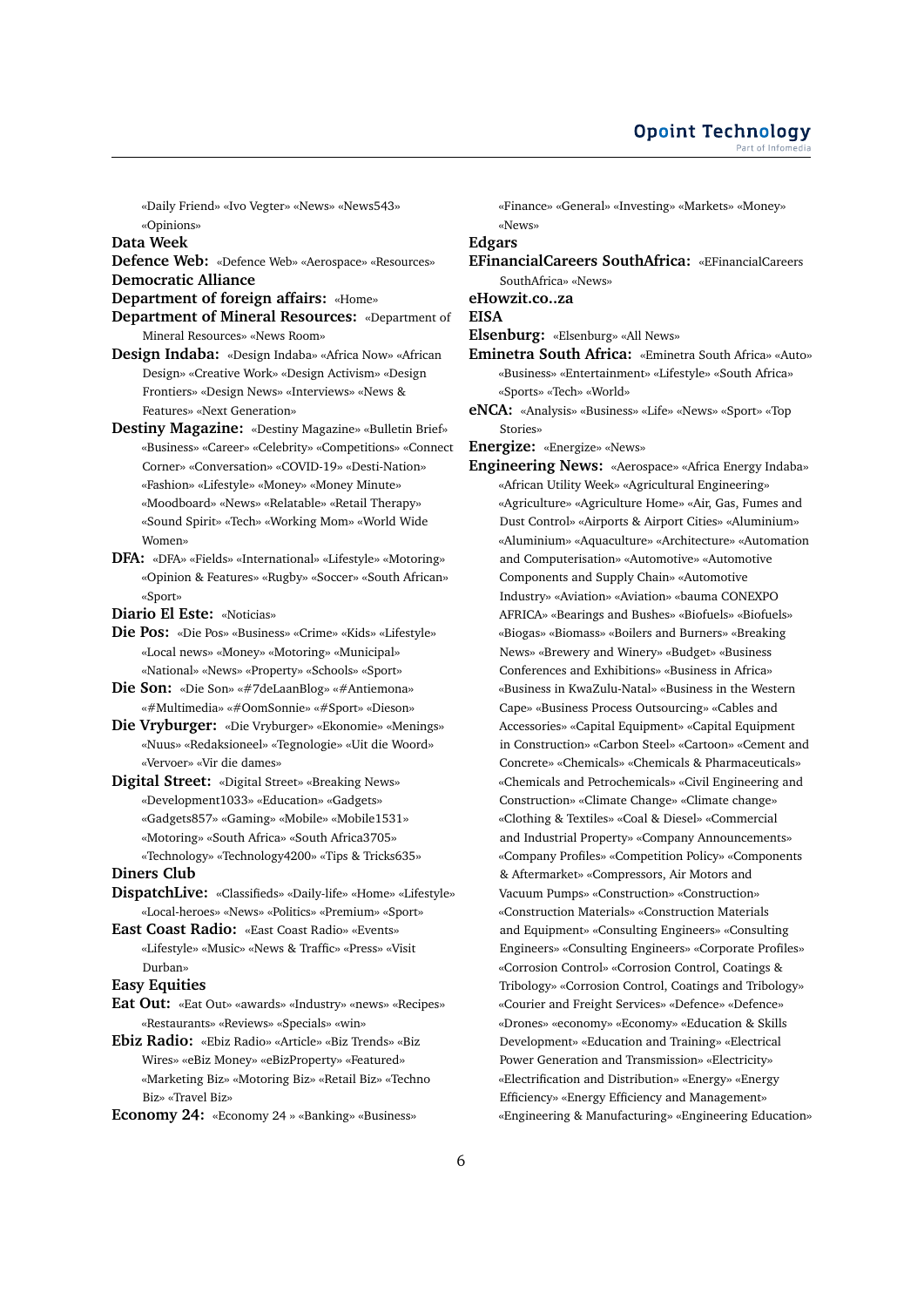«Daily Friend» «Ivo Vegter» «News» «News543» «Opinions»

**Data Week**

- **Defence Web:** «Defence Web» «Aerospace» «Resources» **Democratic Alliance**
- **Department of foreign affairs:** «Home»
- **Department of Mineral Resources:** «Department of Mineral Resources» «News Room»
- **Design Indaba:** «Design Indaba» «Africa Now» «African Design» «Creative Work» «Design Activism» «Design Frontiers» «Design News» «Interviews» «News & Features» «Next Generation»
- **Destiny Magazine:** «Destiny Magazine» «Bulletin Brief» «Business» «Career» «Celebrity» «Competitions» «Connect Corner» «Conversation» «COVID-19» «Desti-Nation» «Fashion» «Lifestyle» «Money» «Money Minute» «Moodboard» «News» «Relatable» «Retail Therapy» «Sound Spirit» «Tech» «Working Mom» «World Wide Women»
- **DFA:** «DFA» «Fields» «International» «Lifestyle» «Motoring» «Opinion & Features» «Rugby» «Soccer» «South African» «Sport»

**Diario El Este:** «Noticias»

- **Die Pos:** «Die Pos» «Business» «Crime» «Kids» «Lifestyle» «Local news» «Money» «Motoring» «Municipal» «National» «News» «Property» «Schools» «Sport»
- **Die Son:** «Die Son» «#7deLaanBlog» «#Antiemona» «#Multimedia» «#OomSonnie» «#Sport» «Dieson»
- **Die Vryburger:** «Die Vryburger» «Ekonomie» «Menings» «Nuus» «Redaksioneel» «Tegnologie» «Uit die Woord» «Vervoer» «Vir die dames»
- **Digital Street:** «Digital Street» «Breaking News» «Development1033» «Education» «Gadgets» «Gadgets857» «Gaming» «Mobile» «Mobile1531» «Motoring» «South Africa» «South Africa3705» «Technology» «Technology4200» «Tips & Tricks635» **Diners Club**
- **DispatchLive:** «Classifieds» «Daily-life» «Home» «Lifestyle» «Local-heroes» «News» «Politics» «Premium» «Sport»
- **East Coast Radio:** «East Coast Radio» «Events» «Lifestyle» «Music» «News & Traffic» «Press» «Visit Durban»

### **Easy Equities**

**Eat Out:** «Eat Out» «awards» «Industry» «news» «Recipes» «Restaurants» «Reviews» «Specials» «win»

**Ebiz Radio:** «Ebiz Radio» «Article» «Biz Trends» «Biz Wires» «eBiz Money» «eBizProperty» «Featured» «Marketing Biz» «Motoring Biz» «Retail Biz» «Techno Biz» «Travel Biz»

**Economy 24:** «Economy 24 » «Banking» «Business»

«Finance» «General» «Investing» «Markets» «Money» «News»

**Edgars**

**EFinancialCareers SouthAfrica:** «EFinancialCareers SouthAfrica» «News»

**eHowzit.co..za**

**EISA**

**Elsenburg:** «Elsenburg» «All News»

- **Eminetra South Africa:** «Eminetra South Africa» «Auto» «Business» «Entertainment» «Lifestyle» «South Africa» «Sports» «Tech» «World»
- **eNCA:** «Analysis» «Business» «Life» «News» «Sport» «Top Stories»

**Energize:** «Energize» «News»

**Engineering News:** «Aerospace» «Africa Energy Indaba» «African Utility Week» «Agricultural Engineering» «Agriculture» «Agriculture Home» «Air, Gas, Fumes and Dust Control» «Airports & Airport Cities» «Aluminium» «Aluminium» «Aquaculture» «Architecture» «Automation and Computerisation» «Automotive» «Automotive Components and Supply Chain» «Automotive Industry» «Aviation» «Aviation» «bauma CONEXPO AFRICA» «Bearings and Bushes» «Biofuels» «Biofuels» «Biogas» «Biomass» «Boilers and Burners» «Breaking News» «Brewery and Winery» «Budget» «Business Conferences and Exhibitions» «Business in Africa» «Business in KwaZulu-Natal» «Business in the Western Cape» «Business Process Outsourcing» «Cables and Accessories» «Capital Equipment» «Capital Equipment in Construction» «Carbon Steel» «Cartoon» «Cement and Concrete» «Chemicals» «Chemicals & Pharmaceuticals» «Chemicals and Petrochemicals» «Civil Engineering and Construction» «Climate Change» «Climate change» «Clothing & Textiles» «Coal & Diesel» «Commercial and Industrial Property» «Company Announcements» «Company Profiles» «Competition Policy» «Components & Aftermarket» «Compressors, Air Motors and Vacuum Pumps» «Construction» «Construction» «Construction Materials» «Construction Materials and Equipment» «Consulting Engineers» «Consulting Engineers» «Consulting Engineers» «Corporate Profiles» «Corrosion Control» «Corrosion Control, Coatings & Tribology» «Corrosion Control, Coatings and Tribology» «Courier and Freight Services» «Defence» «Defence» «Drones» «economy» «Economy» «Education & Skills Development» «Education and Training» «Electrical Power Generation and Transmission» «Electricity» «Electrification and Distribution» «Energy» «Energy Efficiency» «Energy Efficiency and Management» «Engineering & Manufacturing» «Engineering Education»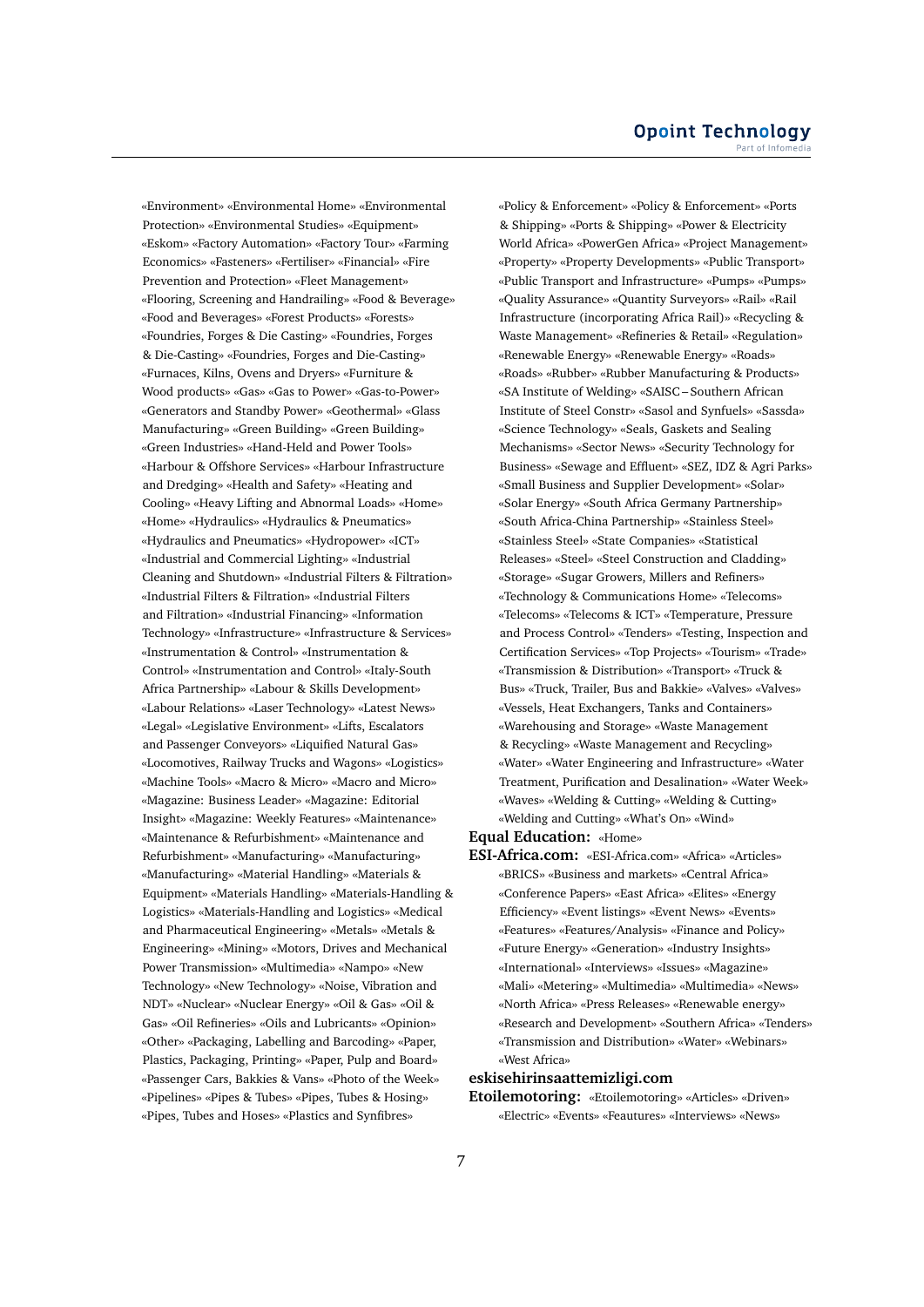«Environment» «Environmental Home» «Environmental Protection» «Environmental Studies» «Equipment» «Eskom» «Factory Automation» «Factory Tour» «Farming Economics» «Fasteners» «Fertiliser» «Financial» «Fire Prevention and Protection» «Fleet Management» «Flooring, Screening and Handrailing» «Food & Beverage» «Food and Beverages» «Forest Products» «Forests» «Foundries, Forges & Die Casting» «Foundries, Forges & Die-Casting» «Foundries, Forges and Die-Casting» «Furnaces, Kilns, Ovens and Dryers» «Furniture & Wood products» «Gas» «Gas to Power» «Gas-to-Power» «Generators and Standby Power» «Geothermal» «Glass Manufacturing» «Green Building» «Green Building» «Green Industries» «Hand-Held and Power Tools» «Harbour & Offshore Services» «Harbour Infrastructure and Dredging» «Health and Safety» «Heating and Cooling» «Heavy Lifting and Abnormal Loads» «Home» «Home» «Hydraulics» «Hydraulics & Pneumatics» «Hydraulics and Pneumatics» «Hydropower» «ICT» «Industrial and Commercial Lighting» «Industrial Cleaning and Shutdown» «Industrial Filters & Filtration» «Industrial Filters & Filtration» «Industrial Filters and Filtration» «Industrial Financing» «Information Technology» «Infrastructure» «Infrastructure & Services» «Instrumentation & Control» «Instrumentation & Control» «Instrumentation and Control» «Italy-South Africa Partnership» «Labour & Skills Development» «Labour Relations» «Laser Technology» «Latest News» «Legal» «Legislative Environment» «Lifts, Escalators and Passenger Conveyors» «Liquified Natural Gas» «Locomotives, Railway Trucks and Wagons» «Logistics» «Machine Tools» «Macro & Micro» «Macro and Micro» «Magazine: Business Leader» «Magazine: Editorial Insight» «Magazine: Weekly Features» «Maintenance» «Maintenance & Refurbishment» «Maintenance and Refurbishment» «Manufacturing» «Manufacturing» «Manufacturing» «Material Handling» «Materials & Equipment» «Materials Handling» «Materials-Handling & Logistics» «Materials-Handling and Logistics» «Medical and Pharmaceutical Engineering» «Metals» «Metals & Engineering» «Mining» «Motors, Drives and Mechanical Power Transmission» «Multimedia» «Nampo» «New Technology» «New Technology» «Noise, Vibration and NDT» «Nuclear» «Nuclear Energy» «Oil & Gas» «Oil & Gas» «Oil Refineries» «Oils and Lubricants» «Opinion» «Other» «Packaging, Labelling and Barcoding» «Paper, Plastics, Packaging, Printing» «Paper, Pulp and Board» «Passenger Cars, Bakkies & Vans» «Photo of the Week» «Pipelines» «Pipes & Tubes» «Pipes, Tubes & Hosing» «Pipes, Tubes and Hoses» «Plastics and Synfibres»

«Policy & Enforcement» «Policy & Enforcement» «Ports & Shipping» «Ports & Shipping» «Power & Electricity World Africa» «PowerGen Africa» «Project Management» «Property» «Property Developments» «Public Transport» «Public Transport and Infrastructure» «Pumps» «Pumps» «Quality Assurance» «Quantity Surveyors» «Rail» «Rail Infrastructure (incorporating Africa Rail)» «Recycling & Waste Management» «Refineries & Retail» «Regulation» «Renewable Energy» «Renewable Energy» «Roads» «Roads» «Rubber» «Rubber Manufacturing & Products» «SA Institute of Welding» «SAISC – Southern African Institute of Steel Constr» «Sasol and Synfuels» «Sassda» «Science Technology» «Seals, Gaskets and Sealing Mechanisms» «Sector News» «Security Technology for Business» «Sewage and Effluent» «SEZ, IDZ & Agri Parks» «Small Business and Supplier Development» «Solar» «Solar Energy» «South Africa Germany Partnership» «South Africa-China Partnership» «Stainless Steel» «Stainless Steel» «State Companies» «Statistical Releases» «Steel» «Steel Construction and Cladding» «Storage» «Sugar Growers, Millers and Refiners» «Technology & Communications Home» «Telecoms» «Telecoms» «Telecoms & ICT» «Temperature, Pressure and Process Control» «Tenders» «Testing, Inspection and Certification Services» «Top Projects» «Tourism» «Trade» «Transmission & Distribution» «Transport» «Truck & Bus» «Truck, Trailer, Bus and Bakkie» «Valves» «Valves» «Vessels, Heat Exchangers, Tanks and Containers» «Warehousing and Storage» «Waste Management & Recycling» «Waste Management and Recycling» «Water» «Water Engineering and Infrastructure» «Water Treatment, Purification and Desalination» «Water Week» «Waves» «Welding & Cutting» «Welding & Cutting» «Welding and Cutting» «What's On» «Wind»

### **Equal Education:** «Home»

**ESI-Africa.com:** «ESI-Africa.com» «Africa» «Articles» «BRICS» «Business and markets» «Central Africa» «Conference Papers» «East Africa» «Elites» «Energy Efficiency» «Event listings» «Event News» «Events» «Features» «Features/Analysis» «Finance and Policy» «Future Energy» «Generation» «Industry Insights» «International» «Interviews» «Issues» «Magazine» «Mali» «Metering» «Multimedia» «Multimedia» «News» «North Africa» «Press Releases» «Renewable energy» «Research and Development» «Southern Africa» «Tenders» «Transmission and Distribution» «Water» «Webinars» «West Africa»

### **eskisehirinsaattemizligi.com**

**Etoilemotoring:** «Etoilemotoring» «Articles» «Driven» «Electric» «Events» «Feautures» «Interviews» «News»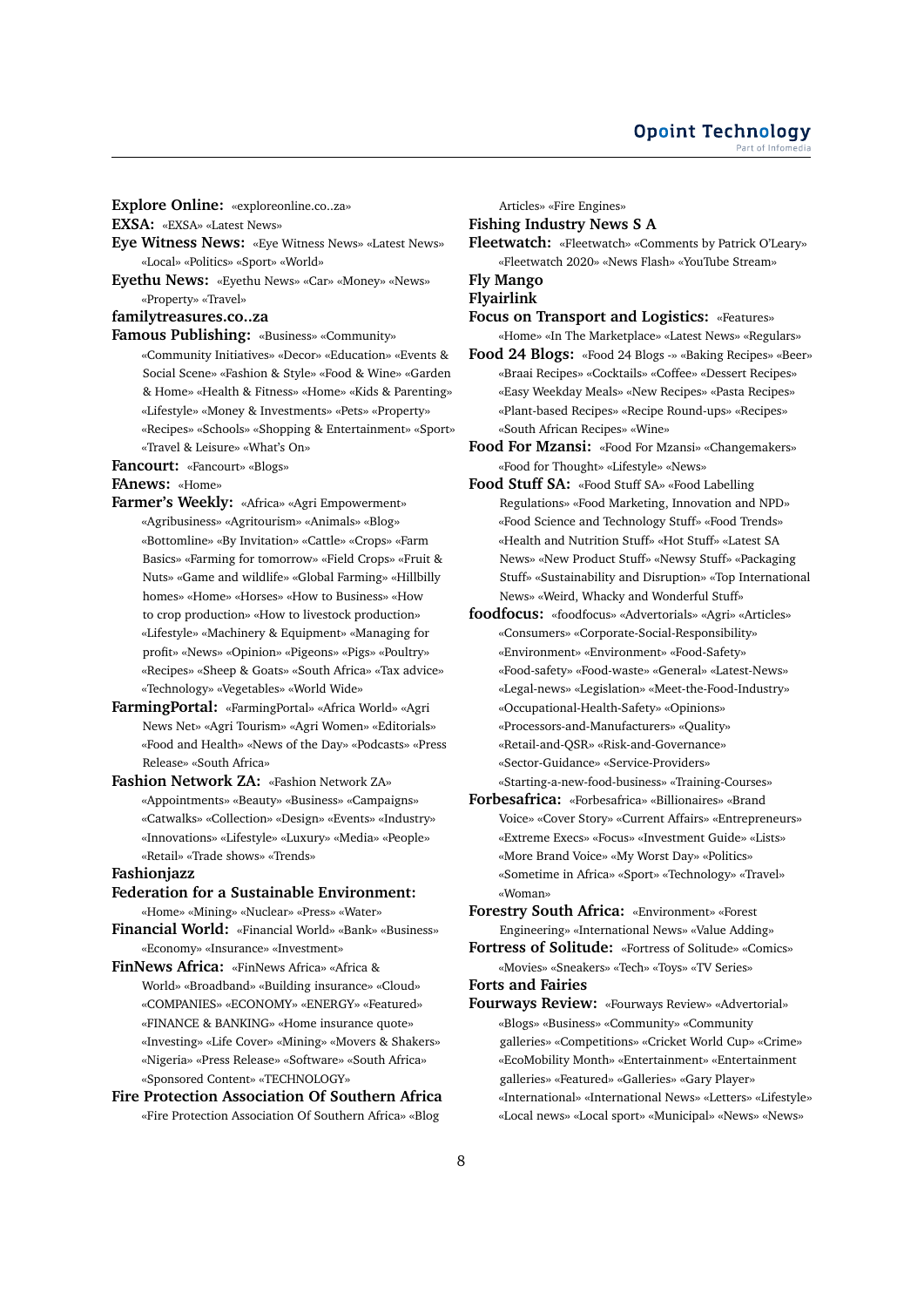**Explore Online:** «exploreonline.co..za»

**EXSA:** «EXSA» «Latest News»

- **Eye Witness News:** «Eye Witness News» «Latest News» «Local» «Politics» «Sport» «World»
- **Eyethu News:** «Eyethu News» «Car» «Money» «News» «Property» «Travel»

**familytreasures.co..za**

- **Famous Publishing:** «Business» «Community» «Community Initiatives» «Decor» «Education» «Events & Social Scene» «Fashion & Style» «Food & Wine» «Garden & Home» «Health & Fitness» «Home» «Kids & Parenting» «Lifestyle» «Money & Investments» «Pets» «Property» «Recipes» «Schools» «Shopping & Entertainment» «Sport» «Travel & Leisure» «What's On»
- **Fancourt:** «Fancourt» «Blogs»

**FAnews:** «Home»

- **Farmer's Weekly:** «Africa» «Agri Empowerment» «Agribusiness» «Agritourism» «Animals» «Blog» «Bottomline» «By Invitation» «Cattle» «Crops» «Farm Basics» «Farming for tomorrow» «Field Crops» «Fruit & Nuts» «Game and wildlife» «Global Farming» «Hillbilly homes» «Home» «Horses» «How to Business» «How to crop production» «How to livestock production» «Lifestyle» «Machinery & Equipment» «Managing for profit» «News» «Opinion» «Pigeons» «Pigs» «Poultry» «Recipes» «Sheep & Goats» «South Africa» «Tax advice» «Technology» «Vegetables» «World Wide»
- **FarmingPortal:** «FarmingPortal» «Africa World» «Agri News Net» «Agri Tourism» «Agri Women» «Editorials» «Food and Health» «News of the Day» «Podcasts» «Press Release» «South Africa»
- **Fashion Network ZA:** «Fashion Network ZA» «Appointments» «Beauty» «Business» «Campaigns» «Catwalks» «Collection» «Design» «Events» «Industry» «Innovations» «Lifestyle» «Luxury» «Media» «People» «Retail» «Trade shows» «Trends»

### **Fashionjazz**

# **Federation for a Sustainable Environment:**

«Home» «Mining» «Nuclear» «Press» «Water»

- **Financial World:** «Financial World» «Bank» «Business» «Economy» «Insurance» «Investment»
- **FinNews Africa:** «FinNews Africa» «Africa & World» «Broadband» «Building insurance» «Cloud» «COMPANIES» «ECONOMY» «ENERGY» «Featured» «FINANCE & BANKING» «Home insurance quote» «Investing» «Life Cover» «Mining» «Movers & Shakers» «Nigeria» «Press Release» «Software» «South Africa» «Sponsored Content» «TECHNOLOGY»

### **Fire Protection Association Of Southern Africa** «Fire Protection Association Of Southern Africa» «Blog

Articles» «Fire Engines»

**Fishing Industry News S A**

**Fleetwatch:** «Fleetwatch» «Comments by Patrick O'Leary» «Fleetwatch 2020» «News Flash» «YouTube Stream»

### **Fly Mango Flyairlink**

**Focus on Transport and Logistics:** «Features» «Home» «In The Marketplace» «Latest News» «Regulars»

- **Food 24 Blogs:** «Food 24 Blogs -» «Baking Recipes» «Beer» «Braai Recipes» «Cocktails» «Coffee» «Dessert Recipes» «Easy Weekday Meals» «New Recipes» «Pasta Recipes» «Plant-based Recipes» «Recipe Round-ups» «Recipes» «South African Recipes» «Wine»
- **Food For Mzansi:** «Food For Mzansi» «Changemakers» «Food for Thought» «Lifestyle» «News»
- **Food Stuff SA:** «Food Stuff SA» «Food Labelling Regulations» «Food Marketing, Innovation and NPD» «Food Science and Technology Stuff» «Food Trends» «Health and Nutrition Stuff» «Hot Stuff» «Latest SA News» «New Product Stuff» «Newsy Stuff» «Packaging Stuff» «Sustainability and Disruption» «Top International News» «Weird, Whacky and Wonderful Stuff»
- **foodfocus:** «foodfocus» «Advertorials» «Agri» «Articles» «Consumers» «Corporate-Social-Responsibility» «Environment» «Environment» «Food-Safety» «Food-safety» «Food-waste» «General» «Latest-News» «Legal-news» «Legislation» «Meet-the-Food-Industry» «Occupational-Health-Safety» «Opinions» «Processors-and-Manufacturers» «Quality» «Retail-and-QSR» «Risk-and-Governance» «Sector-Guidance» «Service-Providers» «Starting-a-new-food-business» «Training-Courses»
- **Forbesafrica:** «Forbesafrica» «Billionaires» «Brand Voice» «Cover Story» «Current Affairs» «Entrepreneurs» «Extreme Execs» «Focus» «Investment Guide» «Lists» «More Brand Voice» «My Worst Day» «Politics» «Sometime in Africa» «Sport» «Technology» «Travel» «Woman»
- **Forestry South Africa:** «Environment» «Forest Engineering» «International News» «Value Adding»
- **Fortress of Solitude:** «Fortress of Solitude» «Comics» «Movies» «Sneakers» «Tech» «Toys» «TV Series» **Forts and Fairies**

**Fourways Review:** «Fourways Review» «Advertorial» «Blogs» «Business» «Community» «Community galleries» «Competitions» «Cricket World Cup» «Crime» «EcoMobility Month» «Entertainment» «Entertainment galleries» «Featured» «Galleries» «Gary Player» «International» «International News» «Letters» «Lifestyle» «Local news» «Local sport» «Municipal» «News» «News»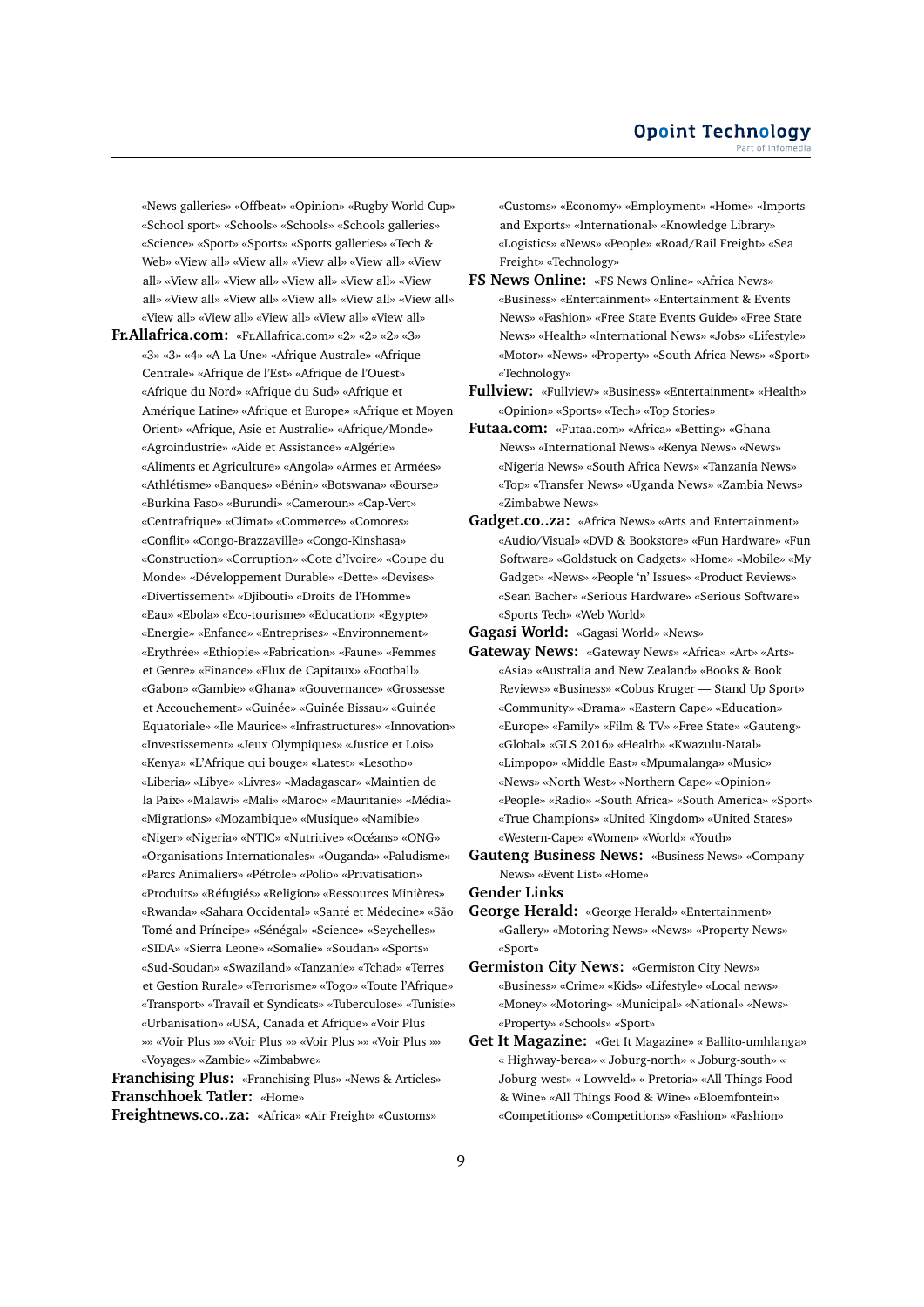«News galleries» «Offbeat» «Opinion» «Rugby World Cup» «School sport» «Schools» «Schools» «Schools galleries» «Science» «Sport» «Sports» «Sports galleries» «Tech & Web» «View all» «View all» «View all» «View all» «View all» «View all» «View all» «View all» «View all» «View all» «View all» «View all» «View all» «View all» «View all» «View all» «View all» «View all» «View all» «View all»

**Fr.Allafrica.com:** «Fr.Allafrica.com» «2» «2» «2» «3» «3» «3» «4» «A La Une» «Afrique Australe» «Afrique Centrale» «Afrique de l'Est» «Afrique de l'Ouest» «Afrique du Nord» «Afrique du Sud» «Afrique et Amérique Latine» «Afrique et Europe» «Afrique et Moyen Orient» «Afrique, Asie et Australie» «Afrique/Monde» «Agroindustrie» «Aide et Assistance» «Algérie» «Aliments et Agriculture» «Angola» «Armes et Armées» «Athlétisme» «Banques» «Bénin» «Botswana» «Bourse» «Burkina Faso» «Burundi» «Cameroun» «Cap-Vert» «Centrafrique» «Climat» «Commerce» «Comores» «Conflit» «Congo-Brazzaville» «Congo-Kinshasa» «Construction» «Corruption» «Cote d'Ivoire» «Coupe du Monde» «Développement Durable» «Dette» «Devises» «Divertissement» «Djibouti» «Droits de l'Homme» «Eau» «Ebola» «Eco-tourisme» «Education» «Egypte» «Energie» «Enfance» «Entreprises» «Environnement» «Erythrée» «Ethiopie» «Fabrication» «Faune» «Femmes et Genre» «Finance» «Flux de Capitaux» «Football» «Gabon» «Gambie» «Ghana» «Gouvernance» «Grossesse et Accouchement» «Guinée» «Guinée Bissau» «Guinée Equatoriale» «Ile Maurice» «Infrastructures» «Innovation» «Investissement» «Jeux Olympiques» «Justice et Lois» «Kenya» «L'Afrique qui bouge» «Latest» «Lesotho» «Liberia» «Libye» «Livres» «Madagascar» «Maintien de la Paix» «Malawi» «Mali» «Maroc» «Mauritanie» «Média» «Migrations» «Mozambique» «Musique» «Namibie» «Niger» «Nigeria» «NTIC» «Nutritive» «Océans» «ONG» «Organisations Internationales» «Ouganda» «Paludisme» «Parcs Animaliers» «Pétrole» «Polio» «Privatisation» «Produits» «Réfugiés» «Religion» «Ressources Minières» «Rwanda» «Sahara Occidental» «Santé et Médecine» «São Tomé and Príncipe» «Sénégal» «Science» «Seychelles» «SIDA» «Sierra Leone» «Somalie» «Soudan» «Sports» «Sud-Soudan» «Swaziland» «Tanzanie» «Tchad» «Terres et Gestion Rurale» «Terrorisme» «Togo» «Toute l'Afrique» «Transport» «Travail et Syndicats» «Tuberculose» «Tunisie» «Urbanisation» «USA, Canada et Afrique» «Voir Plus »» «Voir Plus »» «Voir Plus »» «Voir Plus »» «Voir Plus »» «Voyages» «Zambie» «Zimbabwe»

**Franchising Plus:** «Franchising Plus» «News & Articles» **Franschhoek Tatler:** «Home»

**Freightnews.co..za:** «Africa» «Air Freight» «Customs»

«Customs» «Economy» «Employment» «Home» «Imports and Exports» «International» «Knowledge Library» «Logistics» «News» «People» «Road/Rail Freight» «Sea Freight» «Technology»

- **FS News Online:** «FS News Online» «Africa News» «Business» «Entertainment» «Entertainment & Events News» «Fashion» «Free State Events Guide» «Free State News» «Health» «International News» «Jobs» «Lifestyle» «Motor» «News» «Property» «South Africa News» «Sport» «Technology»
- **Fullview:** «Fullview» «Business» «Entertainment» «Health» «Opinion» «Sports» «Tech» «Top Stories»
- **Futaa.com:** «Futaa.com» «Africa» «Betting» «Ghana News» «International News» «Kenya News» «News» «Nigeria News» «South Africa News» «Tanzania News» «Top» «Transfer News» «Uganda News» «Zambia News» «Zimbabwe News»
- **Gadget.co..za:** «Africa News» «Arts and Entertainment» «Audio/Visual» «DVD & Bookstore» «Fun Hardware» «Fun Software» «Goldstuck on Gadgets» «Home» «Mobile» «My Gadget» «News» «People 'n' Issues» «Product Reviews» «Sean Bacher» «Serious Hardware» «Serious Software» «Sports Tech» «Web World»

**Gagasi World:** «Gagasi World» «News»

- **Gateway News:** «Gateway News» «Africa» «Art» «Arts» «Asia» «Australia and New Zealand» «Books & Book Reviews» «Business» «Cobus Kruger — Stand Up Sport» «Community» «Drama» «Eastern Cape» «Education» «Europe» «Family» «Film & TV» «Free State» «Gauteng» «Global» «GLS 2016» «Health» «Kwazulu-Natal» «Limpopo» «Middle East» «Mpumalanga» «Music» «News» «North West» «Northern Cape» «Opinion» «People» «Radio» «South Africa» «South America» «Sport» «True Champions» «United Kingdom» «United States» «Western-Cape» «Women» «World» «Youth»
- **Gauteng Business News:** «Business News» «Company News» «Event List» «Home»

**Gender Links**

- **George Herald:** «George Herald» «Entertainment» «Gallery» «Motoring News» «News» «Property News» «Sport»
- **Germiston City News:** «Germiston City News» «Business» «Crime» «Kids» «Lifestyle» «Local news» «Money» «Motoring» «Municipal» «National» «News» «Property» «Schools» «Sport»
- **Get It Magazine:** «Get It Magazine» « Ballito-umhlanga» « Highway-berea» « Joburg-north» « Joburg-south» « Joburg-west» « Lowveld» « Pretoria» «All Things Food & Wine» «All Things Food & Wine» «Bloemfontein» «Competitions» «Competitions» «Fashion» «Fashion»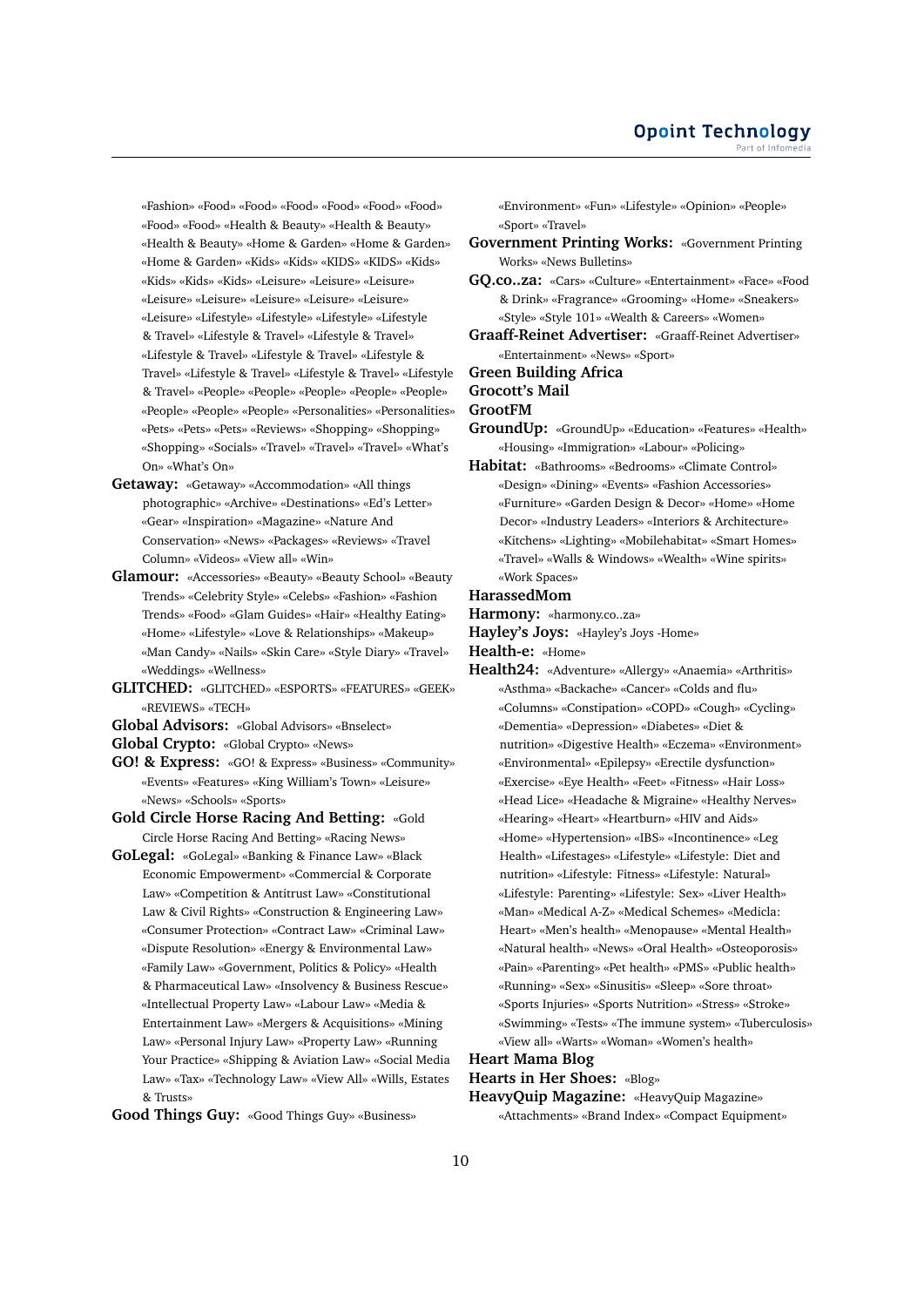«Fashion» «Food» «Food» «Food» «Food» «Food» «Food» «Food» «Food» «Health & Beauty» «Health & Beauty» «Health & Beauty» «Home & Garden» «Home & Garden» «Home & Garden» «Kids» «Kids» «KIDS» «KIDS» «Kids» «Kids» «Kids» «Kids» «Leisure» «Leisure» «Leisure» «Leisure» «Leisure» «Leisure» «Leisure» «Leisure» «Leisure» «Lifestyle» «Lifestyle» «Lifestyle» «Lifestyle & Travel» «Lifestyle & Travel» «Lifestyle & Travel» «Lifestyle & Travel» «Lifestyle & Travel» «Lifestyle & Travel» «Lifestyle & Travel» «Lifestyle & Travel» «Lifestyle & Travel» «People» «People» «People» «People» «People» «People» «People» «People» «Personalities» «Personalities» «Pets» «Pets» «Pets» «Reviews» «Shopping» «Shopping» «Shopping» «Socials» «Travel» «Travel» «Travel» «What's On» «What's On»

- **Getaway:** «Getaway» «Accommodation» «All things photographic» «Archive» «Destinations» «Ed's Letter» «Gear» «Inspiration» «Magazine» «Nature And Conservation» «News» «Packages» «Reviews» «Travel Column» «Videos» «View all» «Win»
- **Glamour:** «Accessories» «Beauty» «Beauty School» «Beauty Trends» «Celebrity Style» «Celebs» «Fashion» «Fashion Trends» «Food» «Glam Guides» «Hair» «Healthy Eating» «Home» «Lifestyle» «Love & Relationships» «Makeup» «Man Candy» «Nails» «Skin Care» «Style Diary» «Travel» «Weddings» «Wellness»
- **GLITCHED:** «GLITCHED» «ESPORTS» «FEATURES» «GEEK» «REVIEWS» «TECH»
- **Global Advisors:** «Global Advisors» «Bnselect»
- **Global Crypto:** «Global Crypto» «News»
- **GO! & Express:** «GO! & Express» «Business» «Community» «Events» «Features» «King William's Town» «Leisure» «News» «Schools» «Sports»
- **Gold Circle Horse Racing And Betting:** «Gold Circle Horse Racing And Betting» «Racing News»
- **GoLegal:** «GoLegal» «Banking & Finance Law» «Black Economic Empowerment» «Commercial & Corporate Law» «Competition & Antitrust Law» «Constitutional Law & Civil Rights» «Construction & Engineering Law» «Consumer Protection» «Contract Law» «Criminal Law» «Dispute Resolution» «Energy & Environmental Law» «Family Law» «Government, Politics & Policy» «Health & Pharmaceutical Law» «Insolvency & Business Rescue» «Intellectual Property Law» «Labour Law» «Media & Entertainment Law» «Mergers & Acquisitions» «Mining Law» «Personal Injury Law» «Property Law» «Running Your Practice» «Shipping & Aviation Law» «Social Media Law» «Tax» «Technology Law» «View All» «Wills, Estates & Trusts»

**Good Things Guy:** «Good Things Guy» «Business»

«Environment» «Fun» «Lifestyle» «Opinion» «People» «Sport» «Travel»

- **Government Printing Works:** «Government Printing Works» «News Bulletins»
- **GQ.co..za:** «Cars» «Culture» «Entertainment» «Face» «Food & Drink» «Fragrance» «Grooming» «Home» «Sneakers» «Style» «Style 101» «Wealth & Careers» «Women»
- **Graaff-Reinet Advertiser:** «Graaff-Reinet Advertiser» «Entertainment» «News» «Sport»

**Green Building Africa**

#### **Grocott's Mail**

**GrootFM**

- **GroundUp:** «GroundUp» «Education» «Features» «Health» «Housing» «Immigration» «Labour» «Policing»
- **Habitat:** «Bathrooms» «Bedrooms» «Climate Control» «Design» «Dining» «Events» «Fashion Accessories» «Furniture» «Garden Design & Decor» «Home» «Home Decor» «Industry Leaders» «Interiors & Architecture» «Kitchens» «Lighting» «Mobilehabitat» «Smart Homes» «Travel» «Walls & Windows» «Wealth» «Wine spirits» «Work Spaces»

#### **HarassedMom**

- **Harmony:** «harmony.co..za»
- **Hayley's Joys:** «Hayley's Joys -Home»
- **Health-e:** «Home»
- **Health24:** «Adventure» «Allergy» «Anaemia» «Arthritis» «Asthma» «Backache» «Cancer» «Colds and flu» «Columns» «Constipation» «COPD» «Cough» «Cycling» «Dementia» «Depression» «Diabetes» «Diet & nutrition» «Digestive Health» «Eczema» «Environment» «Environmental» «Epilepsy» «Erectile dysfunction» «Exercise» «Eye Health» «Feet» «Fitness» «Hair Loss» «Head Lice» «Headache & Migraine» «Healthy Nerves» «Hearing» «Heart» «Heartburn» «HIV and Aids» «Home» «Hypertension» «IBS» «Incontinence» «Leg Health» «Lifestages» «Lifestyle» «Lifestyle: Diet and nutrition» «Lifestyle: Fitness» «Lifestyle: Natural» «Lifestyle: Parenting» «Lifestyle: Sex» «Liver Health» «Man» «Medical A-Z» «Medical Schemes» «Medicla: Heart» «Men's health» «Menopause» «Mental Health» «Natural health» «News» «Oral Health» «Osteoporosis» «Pain» «Parenting» «Pet health» «PMS» «Public health» «Running» «Sex» «Sinusitis» «Sleep» «Sore throat» «Sports Injuries» «Sports Nutrition» «Stress» «Stroke» «Swimming» «Tests» «The immune system» «Tuberculosis» «View all» «Warts» «Woman» «Women's health»

# **Heart Mama Blog**

**Hearts in Her Shoes:** «Blog»

**HeavyQuip Magazine:** «HeavyQuip Magazine» «Attachments» «Brand Index» «Compact Equipment»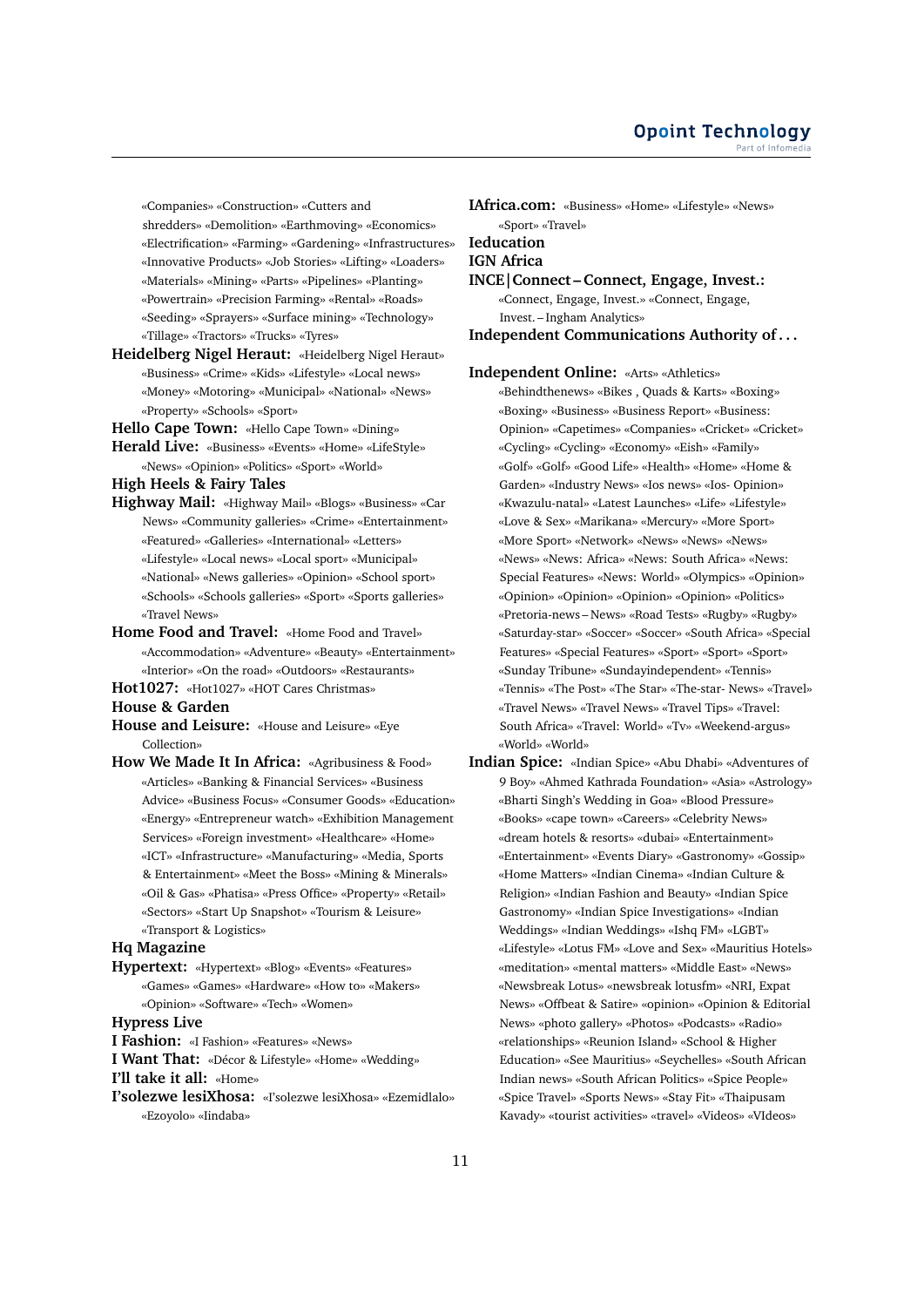«Companies» «Construction» «Cutters and shredders» «Demolition» «Earthmoving» «Economics» «Electrification» «Farming» «Gardening» «Infrastructures» «Innovative Products» «Job Stories» «Lifting» «Loaders» «Materials» «Mining» «Parts» «Pipelines» «Planting» «Powertrain» «Precision Farming» «Rental» «Roads» «Seeding» «Sprayers» «Surface mining» «Technology» «Tillage» «Tractors» «Trucks» «Tyres»

**Heidelberg Nigel Heraut:** «Heidelberg Nigel Heraut» «Business» «Crime» «Kids» «Lifestyle» «Local news» «Money» «Motoring» «Municipal» «National» «News» «Property» «Schools» «Sport»

**Hello Cape Town:** «Hello Cape Town» «Dining» **Herald Live:** «Business» «Events» «Home» «LifeStyle» «News» «Opinion» «Politics» «Sport» «World»

### **High Heels & Fairy Tales**

- **Highway Mail:** «Highway Mail» «Blogs» «Business» «Car News» «Community galleries» «Crime» «Entertainment» «Featured» «Galleries» «International» «Letters» «Lifestyle» «Local news» «Local sport» «Municipal» «National» «News galleries» «Opinion» «School sport» «Schools» «Schools galleries» «Sport» «Sports galleries» «Travel News»
- **Home Food and Travel:** «Home Food and Travel» «Accommodation» «Adventure» «Beauty» «Entertainment» «Interior» «On the road» «Outdoors» «Restaurants»
- **Hot1027:** «Hot1027» «HOT Cares Christmas»

### **House & Garden**

- **House and Leisure:** «House and Leisure» «Eye Collection»
- **How We Made It In Africa:** «Agribusiness & Food» «Articles» «Banking & Financial Services» «Business Advice» «Business Focus» «Consumer Goods» «Education» «Energy» «Entrepreneur watch» «Exhibition Management Services» «Foreign investment» «Healthcare» «Home» «ICT» «Infrastructure» «Manufacturing» «Media, Sports & Entertainment» «Meet the Boss» «Mining & Minerals» «Oil & Gas» «Phatisa» «Press Office» «Property» «Retail» «Sectors» «Start Up Snapshot» «Tourism & Leisure» «Transport & Logistics»

#### **Hq Magazine**

**Hypertext:** «Hypertext» «Blog» «Events» «Features» «Games» «Games» «Hardware» «How to» «Makers» «Opinion» «Software» «Tech» «Women»

#### **Hypress Live**

**I Fashion:** «I Fashion» «Features» «News»

**I Want That:** «Décor & Lifestyle» «Home» «Wedding» **I'll take it all:** «Home»

**I'solezwe lesiXhosa:** «I'solezwe lesiXhosa» «Ezemidlalo» «Ezoyolo» «Iindaba»

**IAfrica.com:** «Business» «Home» «Lifestyle» «News» «Sport» «Travel» **Ieducation IGN Africa INCE|Connect – Connect, Engage, Invest.:** «Connect, Engage, Invest.» «Connect, Engage, Invest. – Ingham Analytics» **Independent Communications Authority of . . .**

**Independent Online:** «Arts» «Athletics»

- «Behindthenews» «Bikes , Quads & Karts» «Boxing» «Boxing» «Business» «Business Report» «Business: Opinion» «Capetimes» «Companies» «Cricket» «Cricket» «Cycling» «Cycling» «Economy» «Eish» «Family» «Golf» «Golf» «Good Life» «Health» «Home» «Home & Garden» «Industry News» «Ios news» «Ios- Opinion» «Kwazulu-natal» «Latest Launches» «Life» «Lifestyle» «Love & Sex» «Marikana» «Mercury» «More Sport» «More Sport» «Network» «News» «News» «News» «News» «News: Africa» «News: South Africa» «News: Special Features» «News: World» «Olympics» «Opinion» «Opinion» «Opinion» «Opinion» «Opinion» «Politics» «Pretoria-news – News» «Road Tests» «Rugby» «Rugby» «Saturday-star» «Soccer» «Soccer» «South Africa» «Special Features» «Special Features» «Sport» «Sport» «Sport» «Sunday Tribune» «Sundayindependent» «Tennis» «Tennis» «The Post» «The Star» «The-star- News» «Travel» «Travel News» «Travel News» «Travel Tips» «Travel: South Africa» «Travel: World» «Tv» «Weekend-argus» «World» «World»
- **Indian Spice:** «Indian Spice» «Abu Dhabi» «Adventures of 9 Boy» «Ahmed Kathrada Foundation» «Asia» «Astrology» «Bharti Singh's Wedding in Goa» «Blood Pressure» «Books» «cape town» «Careers» «Celebrity News» «dream hotels & resorts» «dubai» «Entertainment» «Entertainment» «Events Diary» «Gastronomy» «Gossip» «Home Matters» «Indian Cinema» «Indian Culture & Religion» «Indian Fashion and Beauty» «Indian Spice Gastronomy» «Indian Spice Investigations» «Indian Weddings» «Indian Weddings» «Ishq FM» «LGBT» «Lifestyle» «Lotus FM» «Love and Sex» «Mauritius Hotels» «meditation» «mental matters» «Middle East» «News» «Newsbreak Lotus» «newsbreak lotusfm» «NRI, Expat News» «Offbeat & Satire» «opinion» «Opinion & Editorial News» «photo gallery» «Photos» «Podcasts» «Radio» «relationships» «Reunion Island» «School & Higher Education» «See Mauritius» «Seychelles» «South African Indian news» «South African Politics» «Spice People» «Spice Travel» «Sports News» «Stay Fit» «Thaipusam Kavady» «tourist activities» «travel» «Videos» «VIdeos»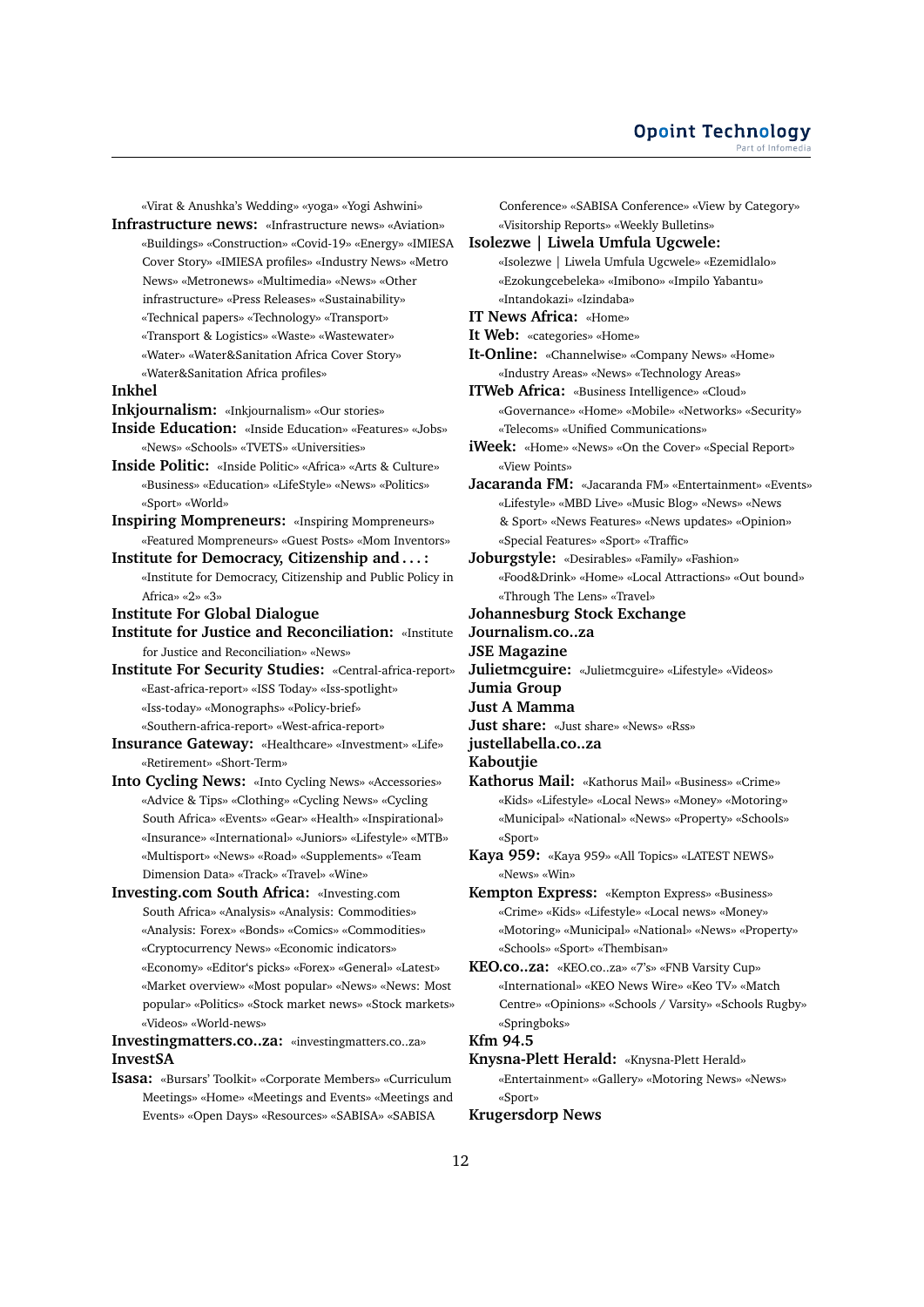«Virat & Anushka's Wedding» «yoga» «Yogi Ashwini»

- **Infrastructure news:** «Infrastructure news» «Aviation» «Buildings» «Construction» «Covid-19» «Energy» «IMIESA Cover Story» «IMIESA profiles» «Industry News» «Metro News» «Metronews» «Multimedia» «News» «Other infrastructure» «Press Releases» «Sustainability» «Technical papers» «Technology» «Transport»
	- «Transport & Logistics» «Waste» «Wastewater»
	- «Water» «Water&Sanitation Africa Cover Story»
	- «Water&Sanitation Africa profiles»

#### **Inkhel**

- **Inkjournalism:** «Inkjournalism» «Our stories»
- **Inside Education:** «Inside Education» «Features» «Jobs» «News» «Schools» «TVETS» «Universities»
- **Inside Politic:** «Inside Politic» «Africa» «Arts & Culture» «Business» «Education» «LifeStyle» «News» «Politics» «Sport» «World»
- **Inspiring Mompreneurs:** «Inspiring Mompreneurs» «Featured Mompreneurs» «Guest Posts» «Mom Inventors»
- **Institute for Democracy, Citizenship and . . . :** «Institute for Democracy, Citizenship and Public Policy in Africa» «2» «3»
- **Institute For Global Dialogue**
- **Institute for Justice and Reconciliation:** «Institute for Justice and Reconciliation» «News»
- **Institute For Security Studies:** «Central-africa-report» «East-africa-report» «ISS Today» «Iss-spotlight» «Iss-today» «Monographs» «Policy-brief» «Southern-africa-report» «West-africa-report»
- **Insurance Gateway:** «Healthcare» «Investment» «Life» «Retirement» «Short-Term»
- **Into Cycling News:** «Into Cycling News» «Accessories» «Advice & Tips» «Clothing» «Cycling News» «Cycling South Africa» «Events» «Gear» «Health» «Inspirational» «Insurance» «International» «Juniors» «Lifestyle» «MTB» «Multisport» «News» «Road» «Supplements» «Team Dimension Data» «Track» «Travel» «Wine»

**Investing.com South Africa:** «Investing.com South Africa» «Analysis» «Analysis: Commodities» «Analysis: Forex» «Bonds» «Comics» «Commodities» «Cryptocurrency News» «Economic indicators» «Economy» «Editor's picks» «Forex» «General» «Latest» «Market overview» «Most popular» «News» «News: Most popular» «Politics» «Stock market news» «Stock markets» «Videos» «World-news»

**Investingmatters.co..za:** «investingmatters.co..za» **InvestSA**

**Isasa:** «Bursars' Toolkit» «Corporate Members» «Curriculum Meetings» «Home» «Meetings and Events» «Meetings and Events» «Open Days» «Resources» «SABISA» «SABISA

Conference» «SABISA Conference» «View by Category» «Visitorship Reports» «Weekly Bulletins»

#### **Isolezwe | Liwela Umfula Ugcwele:**

- «Isolezwe | Liwela Umfula Ugcwele» «Ezemidlalo» «Ezokungcebeleka» «Imibono» «Impilo Yabantu» «Intandokazi» «Izindaba»
- **IT News Africa:** «Home»
- **It Web:** «categories» «Home»
- **It-Online:** «Channelwise» «Company News» «Home» «Industry Areas» «News» «Technology Areas»
- **ITWeb Africa:** «Business Intelligence» «Cloud» «Governance» «Home» «Mobile» «Networks» «Security» «Telecoms» «Unified Communications»

**iWeek:** «Home» «News» «On the Cover» «Special Report» «View Points»

**Jacaranda FM:** «Jacaranda FM» «Entertainment» «Events» «Lifestyle» «MBD Live» «Music Blog» «News» «News & Sport» «News Features» «News updates» «Opinion» «Special Features» «Sport» «Traffic»

**Joburgstyle:** «Desirables» «Family» «Fashion» «Food&Drink» «Home» «Local Attractions» «Out bound» «Through The Lens» «Travel»

- **Johannesburg Stock Exchange**
- **Journalism.co..za**
- **JSE Magazine**
- **Julietmcguire:** «Julietmcguire» «Lifestyle» «Videos»
- **Jumia Group**
- **Just A Mamma**
- **Just share:** «Just share» «News» «Rss»
- **justellabella.co..za**
- **Kaboutjie**
- **Kathorus Mail:** «Kathorus Mail» «Business» «Crime» «Kids» «Lifestyle» «Local News» «Money» «Motoring» «Municipal» «National» «News» «Property» «Schools» «Sport»
- **Kaya 959:** «Kaya 959» «All Topics» «LATEST NEWS» «News» «Win»
- **Kempton Express:** «Kempton Express» «Business» «Crime» «Kids» «Lifestyle» «Local news» «Money» «Motoring» «Municipal» «National» «News» «Property» «Schools» «Sport» «Thembisan»
- **KEO.co..za:** «KEO.co..za» «7's» «FNB Varsity Cup» «International» «KEO News Wire» «Keo TV» «Match Centre» «Opinions» «Schools / Varsity» «Schools Rugby» «Springboks»

### **Kfm 94.5**

**Knysna-Plett Herald:** «Knysna-Plett Herald» «Entertainment» «Gallery» «Motoring News» «News» «Sport»

# **Krugersdorp News**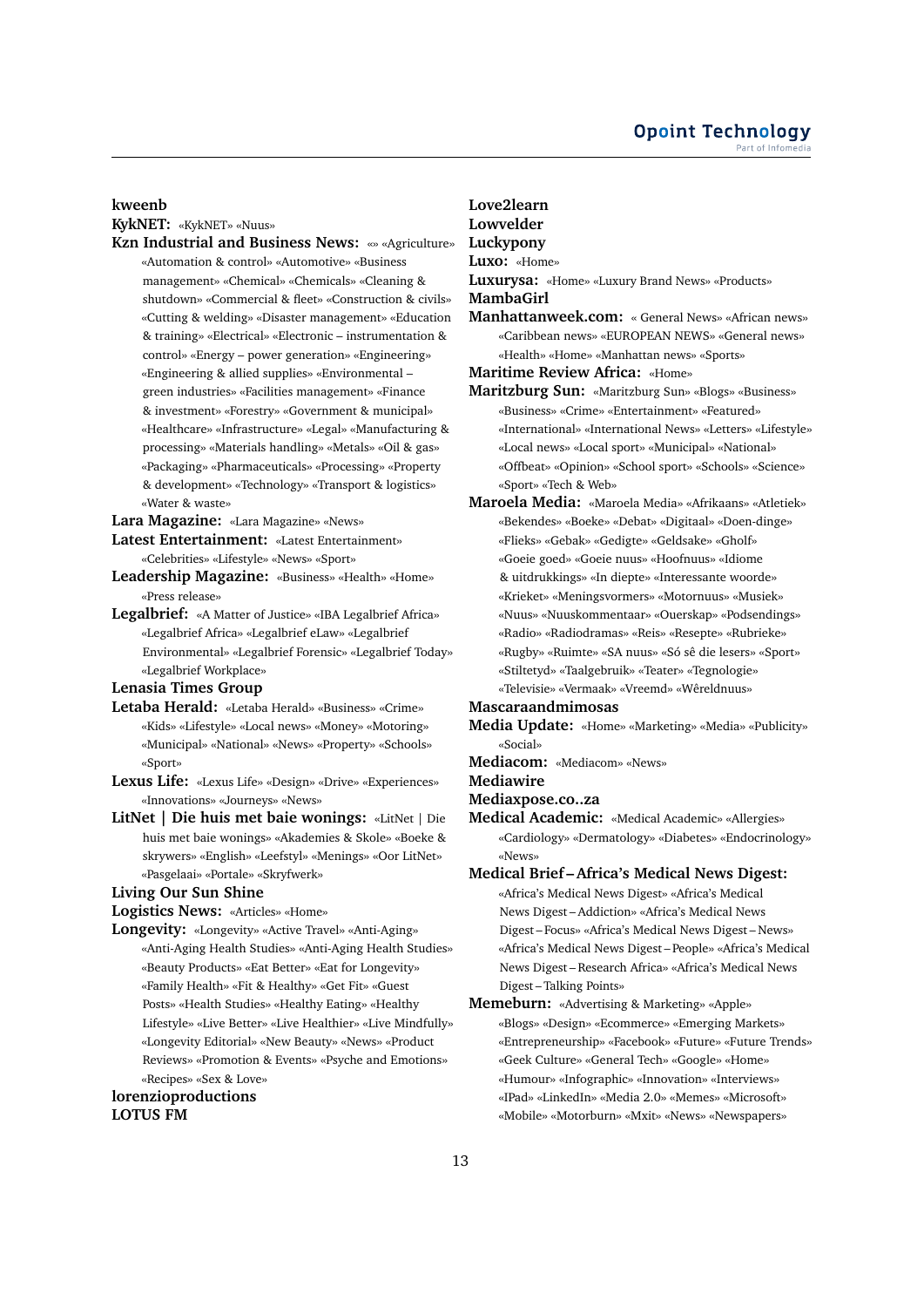### **kweenb**

**KykNET:** «KykNET» «Nuus»

**Kzn Industrial and Business News:** «» «Agriculture» «Automation & control» «Automotive» «Business management» «Chemical» «Chemicals» «Cleaning & shutdown» «Commercial & fleet» «Construction & civils» «Cutting & welding» «Disaster management» «Education & training» «Electrical» «Electronic – instrumentation & control» «Energy – power generation» «Engineering» «Engineering & allied supplies» «Environmental – green industries» «Facilities management» «Finance & investment» «Forestry» «Government & municipal» «Healthcare» «Infrastructure» «Legal» «Manufacturing & processing» «Materials handling» «Metals» «Oil & gas» «Packaging» «Pharmaceuticals» «Processing» «Property & development» «Technology» «Transport & logistics» «Water & waste»

**Lara Magazine:** «Lara Magazine» «News»

- **Latest Entertainment:** «Latest Entertainment»
- «Celebrities» «Lifestyle» «News» «Sport» **Leadership Magazine:** «Business» «Health» «Home» «Press release»
- **Legalbrief:** «A Matter of Justice» «IBA Legalbrief Africa» «Legalbrief Africa» «Legalbrief eLaw» «Legalbrief Environmental» «Legalbrief Forensic» «Legalbrief Today» «Legalbrief Workplace»

**Lenasia Times Group**

- **Letaba Herald:** «Letaba Herald» «Business» «Crime» «Kids» «Lifestyle» «Local news» «Money» «Motoring» «Municipal» «National» «News» «Property» «Schools» «Sport»
- **Lexus Life:** «Lexus Life» «Design» «Drive» «Experiences» «Innovations» «Journeys» «News»
- **LitNet | Die huis met baie wonings:** «LitNet | Die huis met baie wonings» «Akademies & Skole» «Boeke & skrywers» «English» «Leefstyl» «Menings» «Oor LitNet» «Pasgelaai» «Portale» «Skryfwerk»

### **Living Our Sun Shine**

**Logistics News:** «Articles» «Home»

**Longevity:** «Longevity» «Active Travel» «Anti-Aging» «Anti-Aging Health Studies» «Anti-Aging Health Studies» «Beauty Products» «Eat Better» «Eat for Longevity» «Family Health» «Fit & Healthy» «Get Fit» «Guest Posts» «Health Studies» «Healthy Eating» «Healthy Lifestyle» «Live Better» «Live Healthier» «Live Mindfully» «Longevity Editorial» «New Beauty» «News» «Product Reviews» «Promotion & Events» «Psyche and Emotions» «Recipes» «Sex & Love»

# **lorenzioproductions LOTUS FM**

# **Love2learn**

**Lowvelder**

**Luckypony**

**Luxo:** «Home»

- **Luxurysa:** «Home» «Luxury Brand News» «Products»
- **MambaGirl**
- **Manhattanweek.com:** « General News» «African news» «Caribbean news» «EUROPEAN NEWS» «General news» «Health» «Home» «Manhattan news» «Sports»
- **Maritime Review Africa:** «Home»
- **Maritzburg Sun:** «Maritzburg Sun» «Blogs» «Business» «Business» «Crime» «Entertainment» «Featured» «International» «International News» «Letters» «Lifestyle» «Local news» «Local sport» «Municipal» «National» «Offbeat» «Opinion» «School sport» «Schools» «Science» «Sport» «Tech & Web»
- **Maroela Media:** «Maroela Media» «Afrikaans» «Atletiek» «Bekendes» «Boeke» «Debat» «Digitaal» «Doen-dinge» «Flieks» «Gebak» «Gedigte» «Geldsake» «Gholf» «Goeie goed» «Goeie nuus» «Hoofnuus» «Idiome & uitdrukkings» «In diepte» «Interessante woorde» «Krieket» «Meningsvormers» «Motornuus» «Musiek» «Nuus» «Nuuskommentaar» «Ouerskap» «Podsendings» «Radio» «Radiodramas» «Reis» «Resepte» «Rubrieke» «Rugby» «Ruimte» «SA nuus» «Só sê die lesers» «Sport» «Stiltetyd» «Taalgebruik» «Teater» «Tegnologie» «Televisie» «Vermaak» «Vreemd» «Wêreldnuus»

# **Mascaraandmimosas**

**Media Update:** «Home» «Marketing» «Media» «Publicity» «Social»

- **Mediacom:** «Mediacom» «News»
- **Mediawire**

**Mediaxpose.co..za**

- **Medical Academic:** «Medical Academic» «Allergies» «Cardiology» «Dermatology» «Diabetes» «Endocrinology» «News»
- **Medical Brief Africa's Medical News Digest:** «Africa's Medical News Digest» «Africa's Medical News Digest – Addiction» «Africa's Medical News Digest – Focus» «Africa's Medical News Digest – News» «Africa's Medical News Digest – People» «Africa's Medical News Digest – Research Africa» «Africa's Medical News Digest – Talking Points»
- **Memeburn:** «Advertising & Marketing» «Apple» «Blogs» «Design» «Ecommerce» «Emerging Markets» «Entrepreneurship» «Facebook» «Future» «Future Trends» «Geek Culture» «General Tech» «Google» «Home» «Humour» «Infographic» «Innovation» «Interviews» «IPad» «LinkedIn» «Media 2.0» «Memes» «Microsoft» «Mobile» «Motorburn» «Mxit» «News» «Newspapers»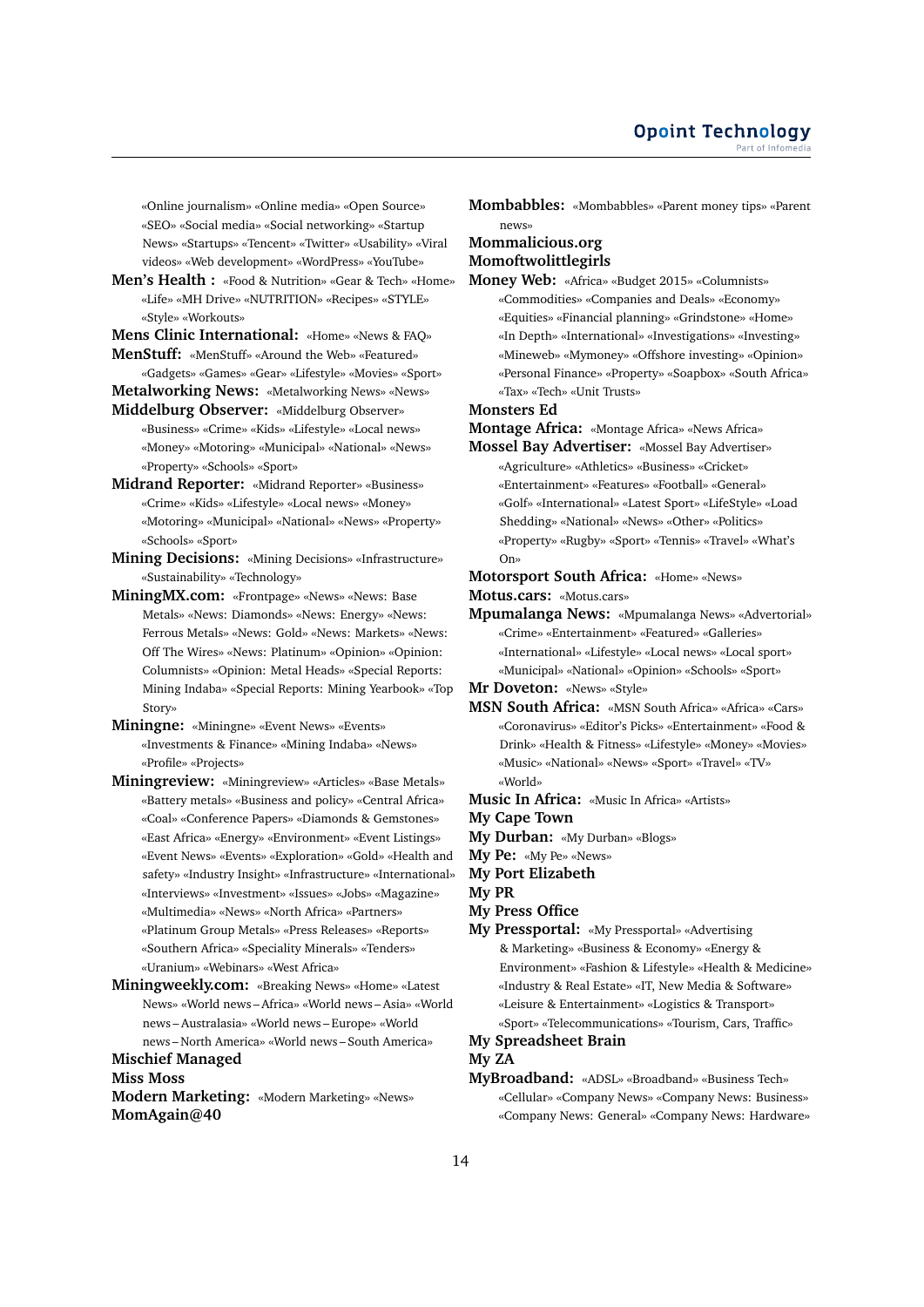«Online journalism» «Online media» «Open Source» «SEO» «Social media» «Social networking» «Startup News» «Startups» «Tencent» «Twitter» «Usability» «Viral videos» «Web development» «WordPress» «YouTube»

**Men's Health :** «Food & Nutrition» «Gear & Tech» «Home» «Life» «MH Drive» «NUTRITION» «Recipes» «STYLE» «Style» «Workouts»

**Mens Clinic International:** «Home» «News & FAQ» **MenStuff:** «MenStuff» «Around the Web» «Featured»

«Gadgets» «Games» «Gear» «Lifestyle» «Movies» «Sport» **Metalworking News:** «Metalworking News» «News»

**Middelburg Observer:** «Middelburg Observer» «Business» «Crime» «Kids» «Lifestyle» «Local news» «Money» «Motoring» «Municipal» «National» «News» «Property» «Schools» «Sport»

**Midrand Reporter:** «Midrand Reporter» «Business» «Crime» «Kids» «Lifestyle» «Local news» «Money» «Motoring» «Municipal» «National» «News» «Property» «Schools» «Sport»

**Mining Decisions:** «Mining Decisions» «Infrastructure» «Sustainability» «Technology»

**MiningMX.com:** «Frontpage» «News» «News: Base Metals» «News: Diamonds» «News: Energy» «News: Ferrous Metals» «News: Gold» «News: Markets» «News: Off The Wires» «News: Platinum» «Opinion» «Opinion: Columnists» «Opinion: Metal Heads» «Special Reports: Mining Indaba» «Special Reports: Mining Yearbook» «Top Story»

- **Miningne:** «Miningne» «Event News» «Events» «Investments & Finance» «Mining Indaba» «News» «Profile» «Projects»
- **Miningreview:** «Miningreview» «Articles» «Base Metals» «Battery metals» «Business and policy» «Central Africa» «Coal» «Conference Papers» «Diamonds & Gemstones» «East Africa» «Energy» «Environment» «Event Listings» «Event News» «Events» «Exploration» «Gold» «Health and safety» «Industry Insight» «Infrastructure» «International» «Interviews» «Investment» «Issues» «Jobs» «Magazine» «Multimedia» «News» «North Africa» «Partners» «Platinum Group Metals» «Press Releases» «Reports» «Southern Africa» «Speciality Minerals» «Tenders» «Uranium» «Webinars» «West Africa»
- **Miningweekly.com:** «Breaking News» «Home» «Latest News» «World news – Africa» «World news – Asia» «World news – Australasia» «World news – Europe» «World news – North America» «World news – South America»

**Mischief Managed**

**Miss Moss**

**Modern Marketing:** «Modern Marketing» «News» **MomAgain@40**

**Mombabbles:** «Mombabbles» «Parent money tips» «Parent news»

### **Mommalicious.org Momoftwolittlegirls**

**Money Web:** «Africa» «Budget 2015» «Columnists» «Commodities» «Companies and Deals» «Economy» «Equities» «Financial planning» «Grindstone» «Home» «In Depth» «International» «Investigations» «Investing» «Mineweb» «Mymoney» «Offshore investing» «Opinion» «Personal Finance» «Property» «Soapbox» «South Africa» «Tax» «Tech» «Unit Trusts»

### **Monsters Ed**

**Montage Africa:** «Montage Africa» «News Africa»

**Mossel Bay Advertiser:** «Mossel Bay Advertiser» «Agriculture» «Athletics» «Business» «Cricket» «Entertainment» «Features» «Football» «General» «Golf» «International» «Latest Sport» «LifeStyle» «Load Shedding» «National» «News» «Other» «Politics» «Property» «Rugby» «Sport» «Tennis» «Travel» «What's On»

**Motorsport South Africa:** «Home» «News»

- **Motus.cars:** «Motus.cars»
- **Mpumalanga News:** «Mpumalanga News» «Advertorial» «Crime» «Entertainment» «Featured» «Galleries» «International» «Lifestyle» «Local news» «Local sport» «Municipal» «National» «Opinion» «Schools» «Sport»

**Mr Doveton:** «News» «Style»

- **MSN South Africa:** «MSN South Africa» «Africa» «Cars» «Coronavirus» «Editor's Picks» «Entertainment» «Food & Drink» «Health & Fitness» «Lifestyle» «Money» «Movies» «Music» «National» «News» «Sport» «Travel» «TV» «World»
- **Music In Africa:** «Music In Africa» «Artists»
- **My Cape Town**
- **My Durban:** «My Durban» «Blogs»
- **My Pe:** «My Pe» «News»
- **My Port Elizabeth**

**My PR**

- **My Press Office**
- **My Pressportal:** «My Pressportal» «Advertising & Marketing» «Business & Economy» «Energy & Environment» «Fashion & Lifestyle» «Health & Medicine» «Industry & Real Estate» «IT, New Media & Software» «Leisure & Entertainment» «Logistics & Transport» «Sport» «Telecommunications» «Tourism, Cars, Traffic»

# **My Spreadsheet Brain**

# **My ZA**

**MyBroadband:** «ADSL» «Broadband» «Business Tech» «Cellular» «Company News» «Company News: Business» «Company News: General» «Company News: Hardware»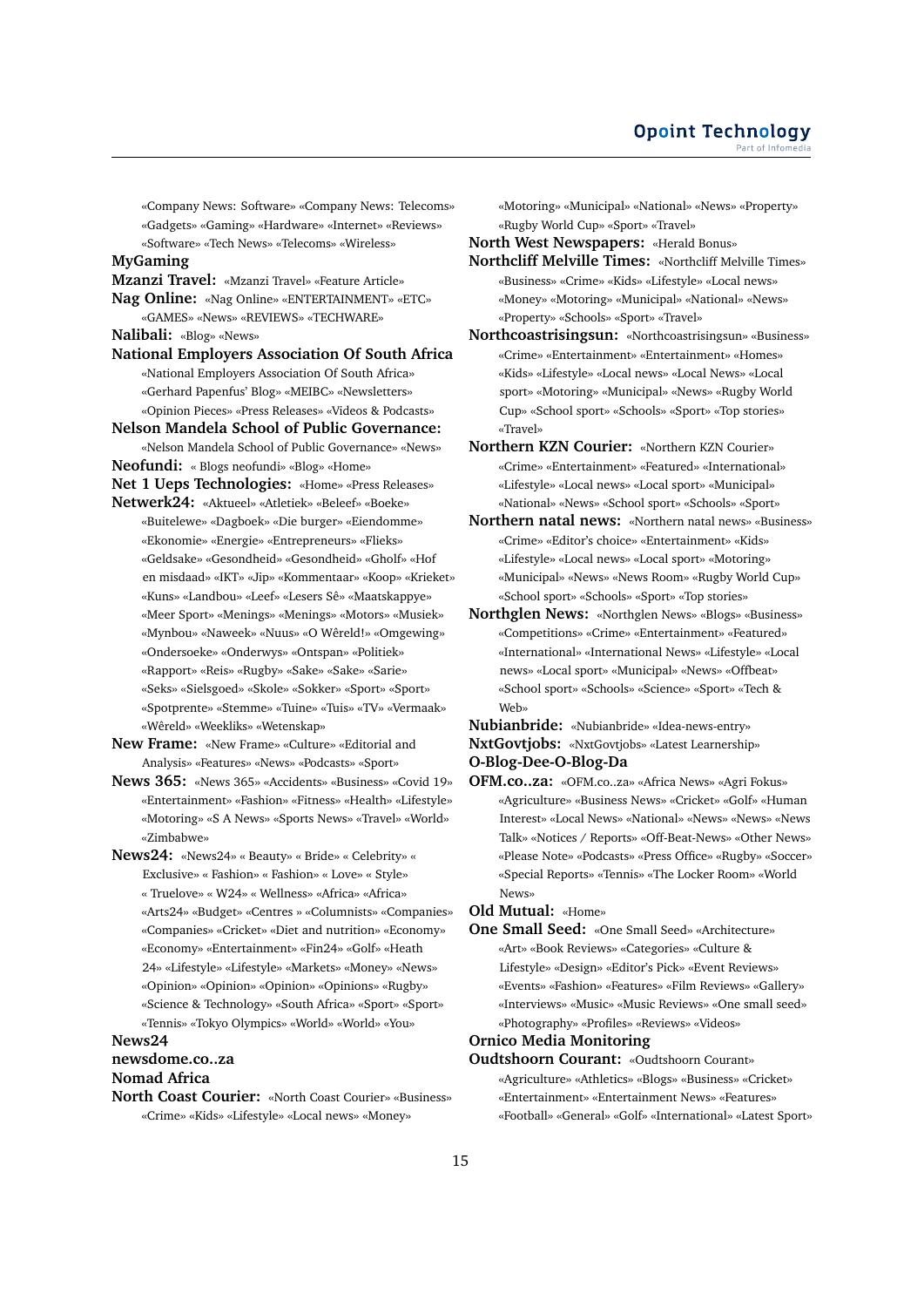«Company News: Software» «Company News: Telecoms» «Gadgets» «Gaming» «Hardware» «Internet» «Reviews» «Software» «Tech News» «Telecoms» «Wireless»

# **MyGaming**

**Mzanzi Travel:** «Mzanzi Travel» «Feature Article»

**Nag Online:** «Nag Online» «ENTERTAINMENT» «ETC» «GAMES» «News» «REVIEWS» «TECHWARE»

**Nalibali:** «Blog» «News»

**National Employers Association Of South Africa** «National Employers Association Of South Africa» «Gerhard Papenfus' Blog» «MEIBC» «Newsletters» «Opinion Pieces» «Press Releases» «Videos & Podcasts»

**Nelson Mandela School of Public Governance:** «Nelson Mandela School of Public Governance» «News»

**Neofundi:** « Blogs neofundi» «Blog» «Home»

**Net 1 Ueps Technologies:** «Home» «Press Releases»

**Netwerk24:** «Aktueel» «Atletiek» «Beleef» «Boeke» «Buitelewe» «Dagboek» «Die burger» «Eiendomme» «Ekonomie» «Energie» «Entrepreneurs» «Flieks» «Geldsake» «Gesondheid» «Gesondheid» «Gholf» «Hof en misdaad» «IKT» «Jip» «Kommentaar» «Koop» «Krieket» «Kuns» «Landbou» «Leef» «Lesers Sê» «Maatskappye» «Meer Sport» «Menings» «Menings» «Motors» «Musiek» «Mynbou» «Naweek» «Nuus» «O Wêreld!» «Omgewing» «Ondersoeke» «Onderwys» «Ontspan» «Politiek» «Rapport» «Reis» «Rugby» «Sake» «Sake» «Sarie» «Seks» «Sielsgoed» «Skole» «Sokker» «Sport» «Sport» «Spotprente» «Stemme» «Tuine» «Tuis» «TV» «Vermaak» «Wêreld» «Weekliks» «Wetenskap»

**New Frame:** «New Frame» «Culture» «Editorial and Analysis» «Features» «News» «Podcasts» «Sport»

**News 365:** «News 365» «Accidents» «Business» «Covid 19» «Entertainment» «Fashion» «Fitness» «Health» «Lifestyle» «Motoring» «S A News» «Sports News» «Travel» «World» «Zimbabwe»

**News24:** «News24» « Beauty» « Bride» « Celebrity» « Exclusive» « Fashion» « Fashion» « Love» « Style» « Truelove» « W24» « Wellness» «Africa» «Africa» «Arts24» «Budget» «Centres » «Columnists» «Companies» «Companies» «Cricket» «Diet and nutrition» «Economy» «Economy» «Entertainment» «Fin24» «Golf» «Heath 24» «Lifestyle» «Lifestyle» «Markets» «Money» «News» «Opinion» «Opinion» «Opinion» «Opinions» «Rugby» «Science & Technology» «South Africa» «Sport» «Sport» «Tennis» «Tokyo Olympics» «World» «World» «You»

### **News24**

# **newsdome.co..za**

# **Nomad Africa**

**North Coast Courier:** «North Coast Courier» «Business» «Crime» «Kids» «Lifestyle» «Local news» «Money»

«Motoring» «Municipal» «National» «News» «Property» «Rugby World Cup» «Sport» «Travel»

**North West Newspapers:** «Herald Bonus»

- **Northcliff Melville Times:** «Northcliff Melville Times» «Business» «Crime» «Kids» «Lifestyle» «Local news» «Money» «Motoring» «Municipal» «National» «News» «Property» «Schools» «Sport» «Travel»
- **Northcoastrisingsun:** «Northcoastrisingsun» «Business» «Crime» «Entertainment» «Entertainment» «Homes» «Kids» «Lifestyle» «Local news» «Local News» «Local sport» «Motoring» «Municipal» «News» «Rugby World Cup» «School sport» «Schools» «Sport» «Top stories» «Travel»

**Northern KZN Courier:** «Northern KZN Courier» «Crime» «Entertainment» «Featured» «International» «Lifestyle» «Local news» «Local sport» «Municipal» «National» «News» «School sport» «Schools» «Sport»

- **Northern natal news:** «Northern natal news» «Business» «Crime» «Editor's choice» «Entertainment» «Kids» «Lifestyle» «Local news» «Local sport» «Motoring» «Municipal» «News» «News Room» «Rugby World Cup» «School sport» «Schools» «Sport» «Top stories»
- **Northglen News:** «Northglen News» «Blogs» «Business» «Competitions» «Crime» «Entertainment» «Featured» «International» «International News» «Lifestyle» «Local news» «Local sport» «Municipal» «News» «Offbeat» «School sport» «Schools» «Science» «Sport» «Tech & Web»

**Nubianbride:** «Nubianbride» «Idea-news-entry» **NxtGovtjobs:** «NxtGovtjobs» «Latest Learnership» **O-Blog-Dee-O-Blog-Da**

**OFM.co..za:** «OFM.co..za» «Africa News» «Agri Fokus» «Agriculture» «Business News» «Cricket» «Golf» «Human Interest» «Local News» «National» «News» «News» «News Talk» «Notices / Reports» «Off-Beat-News» «Other News» «Please Note» «Podcasts» «Press Office» «Rugby» «Soccer» «Special Reports» «Tennis» «The Locker Room» «World News»

**Old Mutual:** «Home»

**One Small Seed:** «One Small Seed» «Architecture» «Art» «Book Reviews» «Categories» «Culture & Lifestyle» «Design» «Editor's Pick» «Event Reviews» «Events» «Fashion» «Features» «Film Reviews» «Gallery» «Interviews» «Music» «Music Reviews» «One small seed» «Photography» «Profiles» «Reviews» «Videos»

# **Ornico Media Monitoring**

**Oudtshoorn Courant:** «Oudtshoorn Courant» «Agriculture» «Athletics» «Blogs» «Business» «Cricket» «Entertainment» «Entertainment News» «Features» «Football» «General» «Golf» «International» «Latest Sport»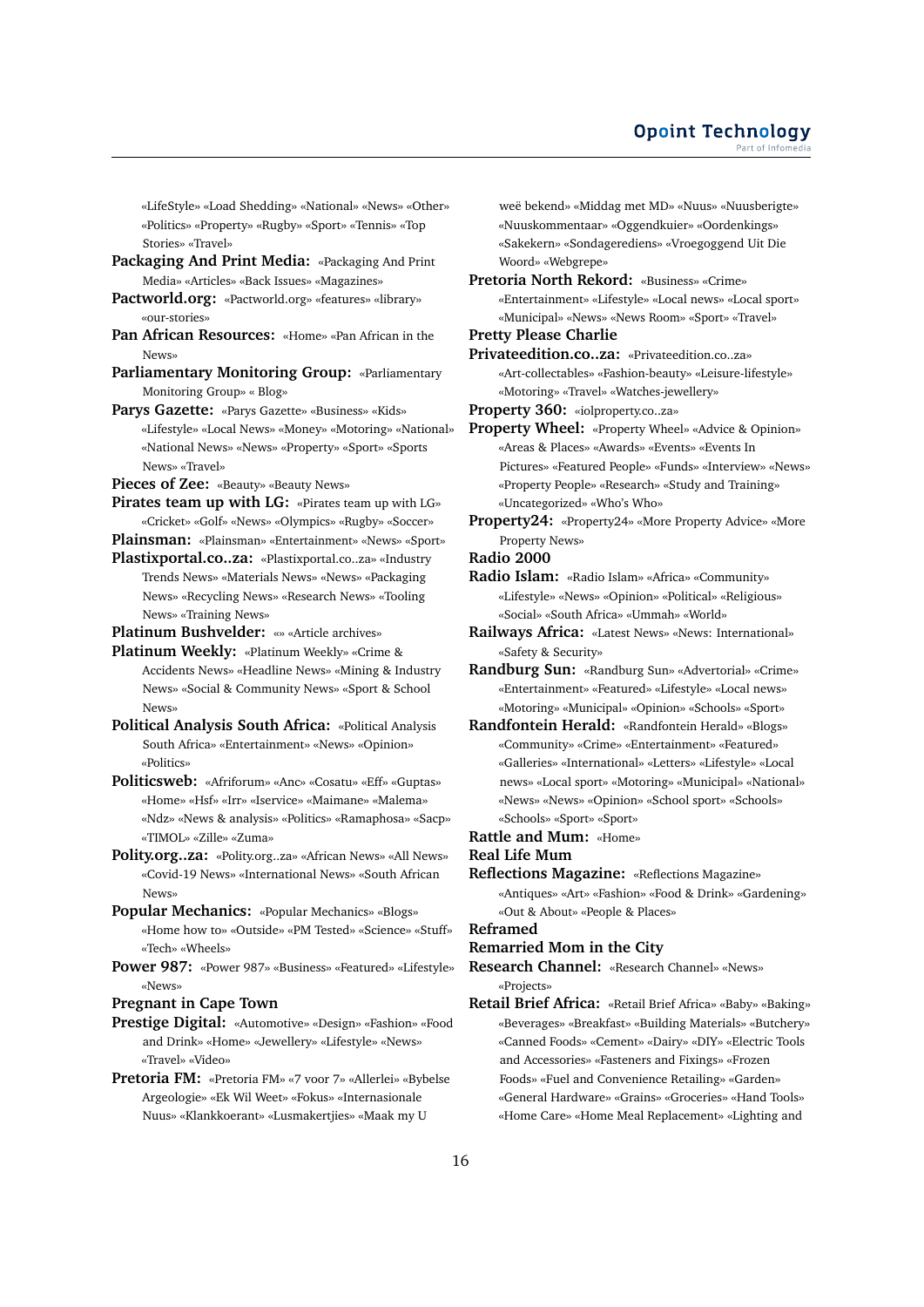### **Opoint Technology** Part of Infomed

«LifeStyle» «Load Shedding» «National» «News» «Other» «Politics» «Property» «Rugby» «Sport» «Tennis» «Top Stories» «Travel»

- **Packaging And Print Media:** «Packaging And Print Media» «Articles» «Back Issues» «Magazines»
- **Pactworld.org:** «Pactworld.org» «features» «library» «our-stories»
- **Pan African Resources:** «Home» «Pan African in the News»
- **Parliamentary Monitoring Group:** «Parliamentary Monitoring Group» « Blog»
- **Parys Gazette:** «Parys Gazette» «Business» «Kids» «Lifestyle» «Local News» «Money» «Motoring» «National» «National News» «News» «Property» «Sport» «Sports News» «Travel»
- **Pieces of Zee:** «Beauty» «Beauty News»
- **Pirates team up with LG:** «Pirates team up with LG» «Cricket» «Golf» «News» «Olympics» «Rugby» «Soccer»
- **Plainsman:** «Plainsman» «Entertainment» «News» «Sport»
- **Plastixportal.co..za:** «Plastixportal.co..za» «Industry Trends News» «Materials News» «News» «Packaging News» «Recycling News» «Research News» «Tooling News» «Training News»
- **Platinum Bushvelder:** «» «Article archives»
- **Platinum Weekly:** «Platinum Weekly» «Crime & Accidents News» «Headline News» «Mining & Industry News» «Social & Community News» «Sport & School News»
- **Political Analysis South Africa:** «Political Analysis South Africa» «Entertainment» «News» «Opinion» «Politics»
- **Politicsweb:** «Afriforum» «Anc» «Cosatu» «Eff» «Guptas» «Home» «Hsf» «Irr» «Iservice» «Maimane» «Malema» «Ndz» «News & analysis» «Politics» «Ramaphosa» «Sacp» «TIMOL» «Zille» «Zuma»
- **Polity.org..za:** «Polity.org..za» «African News» «All News» «Covid-19 News» «International News» «South African News»
- **Popular Mechanics:** «Popular Mechanics» «Blogs» «Home how to» «Outside» «PM Tested» «Science» «Stuff» «Tech» «Wheels»
- **Power 987:** «Power 987» «Business» «Featured» «Lifestyle» «News»
- **Pregnant in Cape Town**
- **Prestige Digital:** «Automotive» «Design» «Fashion» «Food and Drink» «Home» «Jewellery» «Lifestyle» «News» «Travel» «Video»
- **Pretoria FM:** «Pretoria FM» «7 voor 7» «Allerlei» «Bybelse Argeologie» «Ek Wil Weet» «Fokus» «Internasionale Nuus» «Klankkoerant» «Lusmakertjies» «Maak my U

weë bekend» «Middag met MD» «Nuus» «Nuusberigte» «Nuuskommentaar» «Oggendkuier» «Oordenkings» «Sakekern» «Sondagerediens» «Vroegoggend Uit Die Woord» «Webgrepe»

**Pretoria North Rekord:** «Business» «Crime» «Entertainment» «Lifestyle» «Local news» «Local sport» «Municipal» «News» «News Room» «Sport» «Travel»

### **Pretty Please Charlie**

**Privateedition.co..za:** «Privateedition.co..za» «Art-collectables» «Fashion-beauty» «Leisure-lifestyle» «Motoring» «Travel» «Watches-jewellery»

- **Property 360:** «iolproperty.co..za»
- **Property Wheel:** «Property Wheel» «Advice & Opinion» «Areas & Places» «Awards» «Events» «Events In Pictures» «Featured People» «Funds» «Interview» «News» «Property People» «Research» «Study and Training» «Uncategorized» «Who's Who»
- **Property24:** «Property24» «More Property Advice» «More Property News»
- **Radio 2000**
- **Radio Islam:** «Radio Islam» «Africa» «Community» «Lifestyle» «News» «Opinion» «Political» «Religious» «Social» «South Africa» «Ummah» «World»
- **Railways Africa:** «Latest News» «News: International» «Safety & Security»
- **Randburg Sun:** «Randburg Sun» «Advertorial» «Crime» «Entertainment» «Featured» «Lifestyle» «Local news» «Motoring» «Municipal» «Opinion» «Schools» «Sport»
- **Randfontein Herald:** «Randfontein Herald» «Blogs» «Community» «Crime» «Entertainment» «Featured» «Galleries» «International» «Letters» «Lifestyle» «Local news» «Local sport» «Motoring» «Municipal» «National» «News» «News» «Opinion» «School sport» «Schools» «Schools» «Sport» «Sport»
- **Rattle and Mum:** «Home»

### **Real Life Mum**

**Reflections Magazine:** «Reflections Magazine» «Antiques» «Art» «Fashion» «Food & Drink» «Gardening» «Out & About» «People & Places»

# **Reframed**

**Remarried Mom in the City**

- **Research Channel:** «Research Channel» «News» «Projects»
- **Retail Brief Africa:** «Retail Brief Africa» «Baby» «Baking» «Beverages» «Breakfast» «Building Materials» «Butchery» «Canned Foods» «Cement» «Dairy» «DIY» «Electric Tools and Accessories» «Fasteners and Fixings» «Frozen Foods» «Fuel and Convenience Retailing» «Garden» «General Hardware» «Grains» «Groceries» «Hand Tools» «Home Care» «Home Meal Replacement» «Lighting and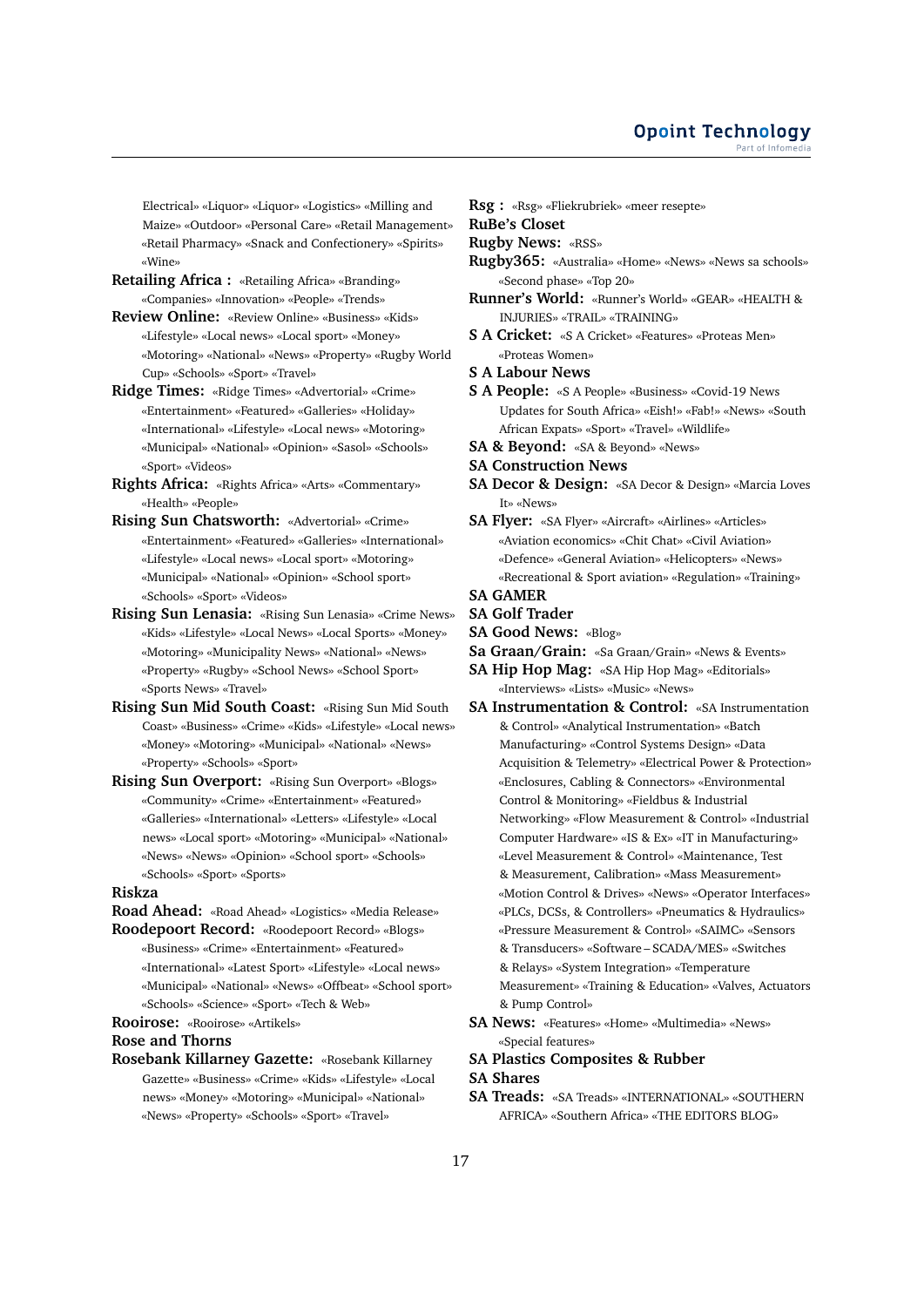Electrical» «Liquor» «Liquor» «Logistics» «Milling and Maize» «Outdoor» «Personal Care» «Retail Management» «Retail Pharmacy» «Snack and Confectionery» «Spirits» «Wine»

**Retailing Africa :** «Retailing Africa» «Branding» «Companies» «Innovation» «People» «Trends»

**Review Online:** «Review Online» «Business» «Kids» «Lifestyle» «Local news» «Local sport» «Money» «Motoring» «National» «News» «Property» «Rugby World Cup» «Schools» «Sport» «Travel»

- **Ridge Times:** «Ridge Times» «Advertorial» «Crime» «Entertainment» «Featured» «Galleries» «Holiday» «International» «Lifestyle» «Local news» «Motoring» «Municipal» «National» «Opinion» «Sasol» «Schools» «Sport» «Videos»
- **Rights Africa:** «Rights Africa» «Arts» «Commentary» «Health» «People»
- **Rising Sun Chatsworth:** «Advertorial» «Crime» «Entertainment» «Featured» «Galleries» «International» «Lifestyle» «Local news» «Local sport» «Motoring» «Municipal» «National» «Opinion» «School sport» «Schools» «Sport» «Videos»
- **Rising Sun Lenasia:** «Rising Sun Lenasia» «Crime News» «Kids» «Lifestyle» «Local News» «Local Sports» «Money» «Motoring» «Municipality News» «National» «News» «Property» «Rugby» «School News» «School Sport» «Sports News» «Travel»
- **Rising Sun Mid South Coast:** «Rising Sun Mid South Coast» «Business» «Crime» «Kids» «Lifestyle» «Local news» «Money» «Motoring» «Municipal» «National» «News» «Property» «Schools» «Sport»
- **Rising Sun Overport:** «Rising Sun Overport» «Blogs» «Community» «Crime» «Entertainment» «Featured» «Galleries» «International» «Letters» «Lifestyle» «Local news» «Local sport» «Motoring» «Municipal» «National» «News» «News» «Opinion» «School sport» «Schools» «Schools» «Sport» «Sports»

### **Riskza**

**Road Ahead:** «Road Ahead» «Logistics» «Media Release» **Roodepoort Record:** «Roodepoort Record» «Blogs»

«Business» «Crime» «Entertainment» «Featured» «International» «Latest Sport» «Lifestyle» «Local news» «Municipal» «National» «News» «Offbeat» «School sport» «Schools» «Science» «Sport» «Tech & Web»

**Rooirose:** «Rooirose» «Artikels»

### **Rose and Thorns**

**Rosebank Killarney Gazette:** «Rosebank Killarney Gazette» «Business» «Crime» «Kids» «Lifestyle» «Local news» «Money» «Motoring» «Municipal» «National» «News» «Property» «Schools» «Sport» «Travel»

**Rsg :** «Rsg» «Fliekrubriek» «meer resepte»

**RuBe's Closet**

**Rugby News:** «RSS»

- **Rugby365:** «Australia» «Home» «News» «News sa schools» «Second phase» «Top 20»
- **Runner's World:** «Runner's World» «GEAR» «HEALTH & INJURIES» «TRAIL» «TRAINING»
- **S A Cricket:** «S A Cricket» «Features» «Proteas Men» «Proteas Women»
- **S A Labour News**
- **S A People:** «S A People» «Business» «Covid-19 News Updates for South Africa» «Eish!» «Fab!» «News» «South African Expats» «Sport» «Travel» «Wildlife»
- **SA & Beyond:** «SA & Beyond» «News»
- **SA Construction News**
- **SA Decor & Design:** «SA Decor & Design» «Marcia Loves It» «News»
- **SA Flyer:** «SA Flyer» «Aircraft» «Airlines» «Articles» «Aviation economics» «Chit Chat» «Civil Aviation» «Defence» «General Aviation» «Helicopters» «News» «Recreational & Sport aviation» «Regulation» «Training»
- **SA GAMER**
- **SA Golf Trader**
- **SA Good News:** «Blog»
- **Sa Graan/Grain:** «Sa Graan/Grain» «News & Events»
- **SA Hip Hop Mag:** «SA Hip Hop Mag» «Editorials» «Interviews» «Lists» «Music» «News»
- **SA Instrumentation & Control:** «SA Instrumentation & Control» «Analytical Instrumentation» «Batch Manufacturing» «Control Systems Design» «Data Acquisition & Telemetry» «Electrical Power & Protection» «Enclosures, Cabling & Connectors» «Environmental Control & Monitoring» «Fieldbus & Industrial Networking» «Flow Measurement & Control» «Industrial Computer Hardware» «IS & Ex» «IT in Manufacturing» «Level Measurement & Control» «Maintenance, Test & Measurement, Calibration» «Mass Measurement» «Motion Control & Drives» «News» «Operator Interfaces» «PLCs, DCSs, & Controllers» «Pneumatics & Hydraulics» «Pressure Measurement & Control» «SAIMC» «Sensors & Transducers» «Software – SCADA/MES» «Switches & Relays» «System Integration» «Temperature Measurement» «Training & Education» «Valves, Actuators & Pump Control»
- **SA News:** «Features» «Home» «Multimedia» «News» «Special features»
- **SA Plastics Composites & Rubber**

# **SA Shares**

**SA Treads:** «SA Treads» «INTERNATIONAL» «SOUTHERN AFRICA» «Southern Africa» «THE EDITORS BLOG»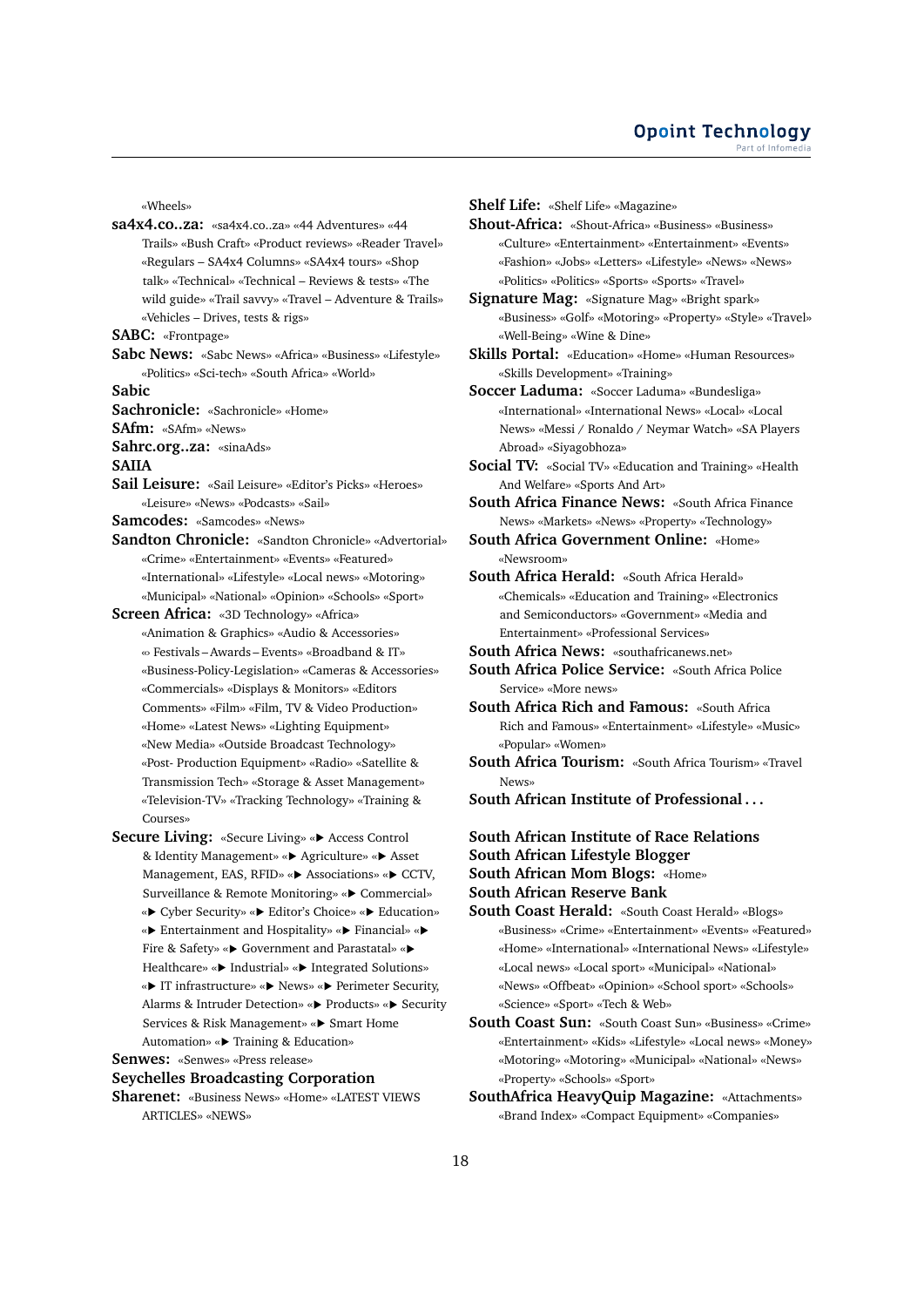«Wheels»

**sa4x4.co..za:** «sa4x4.co..za» «44 Adventures» «44 Trails» «Bush Craft» «Product reviews» «Reader Travel» «Regulars – SA4x4 Columns» «SA4x4 tours» «Shop talk» «Technical» «Technical – Reviews & tests» «The wild guide» «Trail savvy» «Travel – Adventure & Trails» «Vehicles – Drives, tests & rigs»

**SABC:** «Frontpage»

**Sabc News:** «Sabc News» «Africa» «Business» «Lifestyle» «Politics» «Sci-tech» «South Africa» «World»

**Sabic**

**Sachronicle:** «Sachronicle» «Home»

**SAfm:** «SAfm» «News»

**Sahrc.org..za:** «sinaAds»

**SAIIA**

- **Sail Leisure:** «Sail Leisure» «Editor's Picks» «Heroes» «Leisure» «News» «Podcasts» «Sail»
- **Samcodes:** «Samcodes» «News»
- **Sandton Chronicle:** «Sandton Chronicle» «Advertorial» «Crime» «Entertainment» «Events» «Featured» «International» «Lifestyle» «Local news» «Motoring» «Municipal» «National» «Opinion» «Schools» «Sport»

**Screen Africa:** «3D Technology» «Africa»

- «Animation & Graphics» «Audio & Accessories» «› Festivals – Awards – Events» «Broadband & IT» «Business-Policy-Legislation» «Cameras & Accessories» «Commercials» «Displays & Monitors» «Editors Comments» «Film» «Film, TV & Video Production» «Home» «Latest News» «Lighting Equipment» «New Media» «Outside Broadcast Technology» «Post- Production Equipment» «Radio» «Satellite & Transmission Tech» «Storage & Asset Management» «Television-TV» «Tracking Technology» «Training & Courses»
- **Secure Living:** «Secure Living» «▶ Access Control & Identity Management» « Agriculture» « Asset Management, EAS, RFID» «> Associations» «> CCTV, Surveillance & Remote Monitoring» «▶ Commercial» « $\blacktriangleright$  Cyber Security» « $\blacktriangleright$  Editor's Choice» « $\blacktriangleright$  Education» « $\blacktriangleright$  Entertainment and Hospitality» « $\blacktriangleright$  Financial» « $\blacktriangleright$ Fire & Safety» «▶ Government and Parastatal» «▶ Healthcare» «▶ Industrial» «▶ Integrated Solutions» «**>** IT infrastructure» «**>** News» «**>** Perimeter Security, Alarms & Intruder Detection» «▶ Products» «▶ Security Services & Risk Management» «▶ Smart Home Automation» «▶ Training & Education»

**Senwes:** «Senwes» «Press release»

### **Seychelles Broadcasting Corporation**

**Sharenet:** «Business News» «Home» «LATEST VIEWS ARTICLES» «NEWS»

**Shelf Life:** «Shelf Life» «Magazine»

- **Shout-Africa:** «Shout-Africa» «Business» «Business» «Culture» «Entertainment» «Entertainment» «Events» «Fashion» «Jobs» «Letters» «Lifestyle» «News» «News» «Politics» «Politics» «Sports» «Sports» «Travel»
- **Signature Mag:** «Signature Mag» «Bright spark» «Business» «Golf» «Motoring» «Property» «Style» «Travel» «Well-Being» «Wine & Dine»
- **Skills Portal:** «Education» «Home» «Human Resources» «Skills Development» «Training»

**Soccer Laduma:** «Soccer Laduma» «Bundesliga» «International» «International News» «Local» «Local News» «Messi / Ronaldo / Neymar Watch» «SA Players Abroad» «Siyagobhoza»

**Social TV:** «Social TV» «Education and Training» «Health And Welfare» «Sports And Art»

**South Africa Finance News:** «South Africa Finance News» «Markets» «News» «Property» «Technology»

- **South Africa Government Online:** «Home» «Newsroom»
- **South Africa Herald:** «South Africa Herald» «Chemicals» «Education and Training» «Electronics and Semiconductors» «Government» «Media and Entertainment» «Professional Services»
- **South Africa News:** «southafricanews.net»
- **South Africa Police Service:** «South Africa Police Service» «More news»
- **South Africa Rich and Famous:** «South Africa Rich and Famous» «Entertainment» «Lifestyle» «Music» «Popular» «Women»
- **South Africa Tourism:** «South Africa Tourism» «Travel News»
- **South African Institute of Professional . . .**
- **South African Institute of Race Relations**

**South African Lifestyle Blogger**

**South African Mom Blogs:** «Home»

**South African Reserve Bank**

- **South Coast Herald:** «South Coast Herald» «Blogs» «Business» «Crime» «Entertainment» «Events» «Featured» «Home» «International» «International News» «Lifestyle» «Local news» «Local sport» «Municipal» «National» «News» «Offbeat» «Opinion» «School sport» «Schools» «Science» «Sport» «Tech & Web»
- **South Coast Sun:** «South Coast Sun» «Business» «Crime» «Entertainment» «Kids» «Lifestyle» «Local news» «Money» «Motoring» «Motoring» «Municipal» «National» «News» «Property» «Schools» «Sport»
- **SouthAfrica HeavyQuip Magazine:** «Attachments» «Brand Index» «Compact Equipment» «Companies»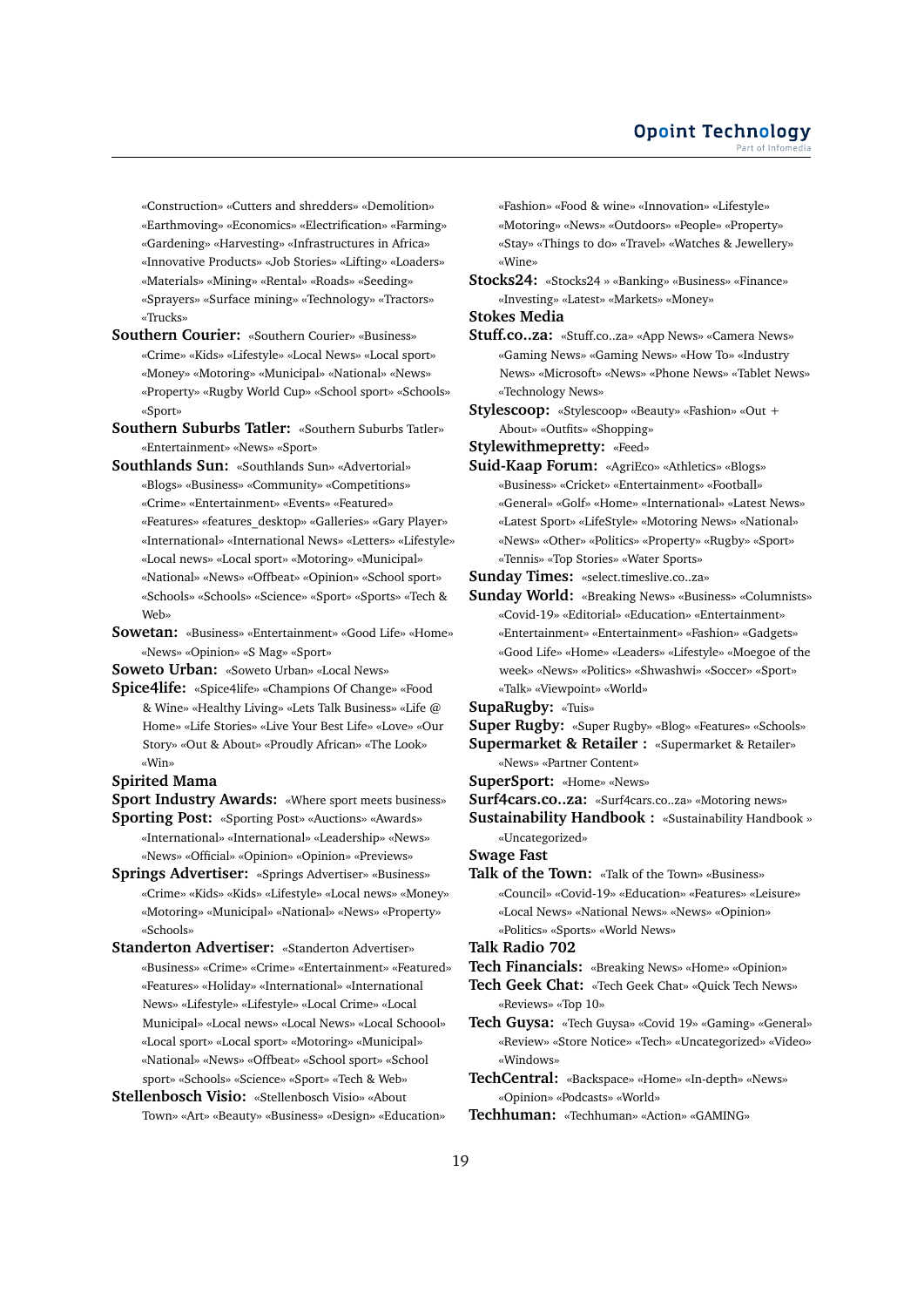«Construction» «Cutters and shredders» «Demolition» «Earthmoving» «Economics» «Electrification» «Farming» «Gardening» «Harvesting» «Infrastructures in Africa» «Innovative Products» «Job Stories» «Lifting» «Loaders» «Materials» «Mining» «Rental» «Roads» «Seeding» «Sprayers» «Surface mining» «Technology» «Tractors» «Trucks»

- **Southern Courier:** «Southern Courier» «Business» «Crime» «Kids» «Lifestyle» «Local News» «Local sport» «Money» «Motoring» «Municipal» «National» «News» «Property» «Rugby World Cup» «School sport» «Schools» «Sport»
- **Southern Suburbs Tatler:** «Southern Suburbs Tatler» «Entertainment» «News» «Sport»
- **Southlands Sun:** «Southlands Sun» «Advertorial» «Blogs» «Business» «Community» «Competitions» «Crime» «Entertainment» «Events» «Featured» «Features» «features\_desktop» «Galleries» «Gary Player» «International» «International News» «Letters» «Lifestyle» «Local news» «Local sport» «Motoring» «Municipal» «National» «News» «Offbeat» «Opinion» «School sport» «Schools» «Schools» «Science» «Sport» «Sports» «Tech & Web»
- **Sowetan:** «Business» «Entertainment» «Good Life» «Home» «News» «Opinion» «S Mag» «Sport»

**Soweto Urban:** «Soweto Urban» «Local News»

**Spice4life:** «Spice4life» «Champions Of Change» «Food & Wine» «Healthy Living» «Lets Talk Business» «Life @ Home» «Life Stories» «Live Your Best Life» «Love» «Our Story» «Out & About» «Proudly African» «The Look» «Win»

# **Spirited Mama**

**Sport Industry Awards:** «Where sport meets business»

- **Sporting Post:** «Sporting Post» «Auctions» «Awards» «International» «International» «Leadership» «News» «News» «Official» «Opinion» «Opinion» «Previews»
- **Springs Advertiser:** «Springs Advertiser» «Business» «Crime» «Kids» «Kids» «Lifestyle» «Local news» «Money» «Motoring» «Municipal» «National» «News» «Property» «Schools»

**Standerton Advertiser:** «Standerton Advertiser» «Business» «Crime» «Crime» «Entertainment» «Featured» «Features» «Holiday» «International» «International News» «Lifestyle» «Lifestyle» «Local Crime» «Local Municipal» «Local news» «Local News» «Local Schoool» «Local sport» «Local sport» «Motoring» «Municipal» «National» «News» «Offbeat» «School sport» «School sport» «Schools» «Science» «Sport» «Tech & Web»

**Stellenbosch Visio:** «Stellenbosch Visio» «About Town» «Art» «Beauty» «Business» «Design» «Education» «Fashion» «Food & wine» «Innovation» «Lifestyle» «Motoring» «News» «Outdoors» «People» «Property» «Stay» «Things to do» «Travel» «Watches & Jewellery» «Wine»

**Stocks24:** «Stocks24 » «Banking» «Business» «Finance» «Investing» «Latest» «Markets» «Money»

**Stokes Media**

- **Stuff.co..za:** «Stuff.co..za» «App News» «Camera News» «Gaming News» «Gaming News» «How To» «Industry News» «Microsoft» «News» «Phone News» «Tablet News» «Technology News»
- **Stylescoop:** «Stylescoop» «Beauty» «Fashion» «Out + About» «Outfits» «Shopping»

**Stylewithmepretty:** «Feed»

**Suid-Kaap Forum:** «AgriEco» «Athletics» «Blogs» «Business» «Cricket» «Entertainment» «Football» «General» «Golf» «Home» «International» «Latest News» «Latest Sport» «LifeStyle» «Motoring News» «National» «News» «Other» «Politics» «Property» «Rugby» «Sport» «Tennis» «Top Stories» «Water Sports»

**Sunday Times:** «select.timeslive.co..za»

- **Sunday World:** «Breaking News» «Business» «Columnists» «Covid-19» «Editorial» «Education» «Entertainment» «Entertainment» «Entertainment» «Fashion» «Gadgets» «Good Life» «Home» «Leaders» «Lifestyle» «Moegoe of the week» «News» «Politics» «Shwashwi» «Soccer» «Sport» «Talk» «Viewpoint» «World»
- **SupaRugby:** «Tuis»
- **Super Rugby:** «Super Rugby» «Blog» «Features» «Schools»
- **Supermarket & Retailer :** «Supermarket & Retailer» «News» «Partner Content»
- **SuperSport:** «Home» «News»
- **Surf4cars.co..za:** «Surf4cars.co..za» «Motoring news»
- **Sustainability Handbook :** «Sustainability Handbook » «Uncategorized»

**Swage Fast**

**Talk of the Town:** «Talk of the Town» «Business» «Council» «Covid-19» «Education» «Features» «Leisure» «Local News» «National News» «News» «Opinion» «Politics» «Sports» «World News»

- **Talk Radio 702**
- **Tech Financials:** «Breaking News» «Home» «Opinion»
- **Tech Geek Chat:** «Tech Geek Chat» «Quick Tech News» «Reviews» «Top 10»

**Tech Guysa:** «Tech Guysa» «Covid 19» «Gaming» «General» «Review» «Store Notice» «Tech» «Uncategorized» «Video» «Windows»

**TechCentral:** «Backspace» «Home» «In-depth» «News» «Opinion» «Podcasts» «World»

**Techhuman:** «Techhuman» «Action» «GAMING»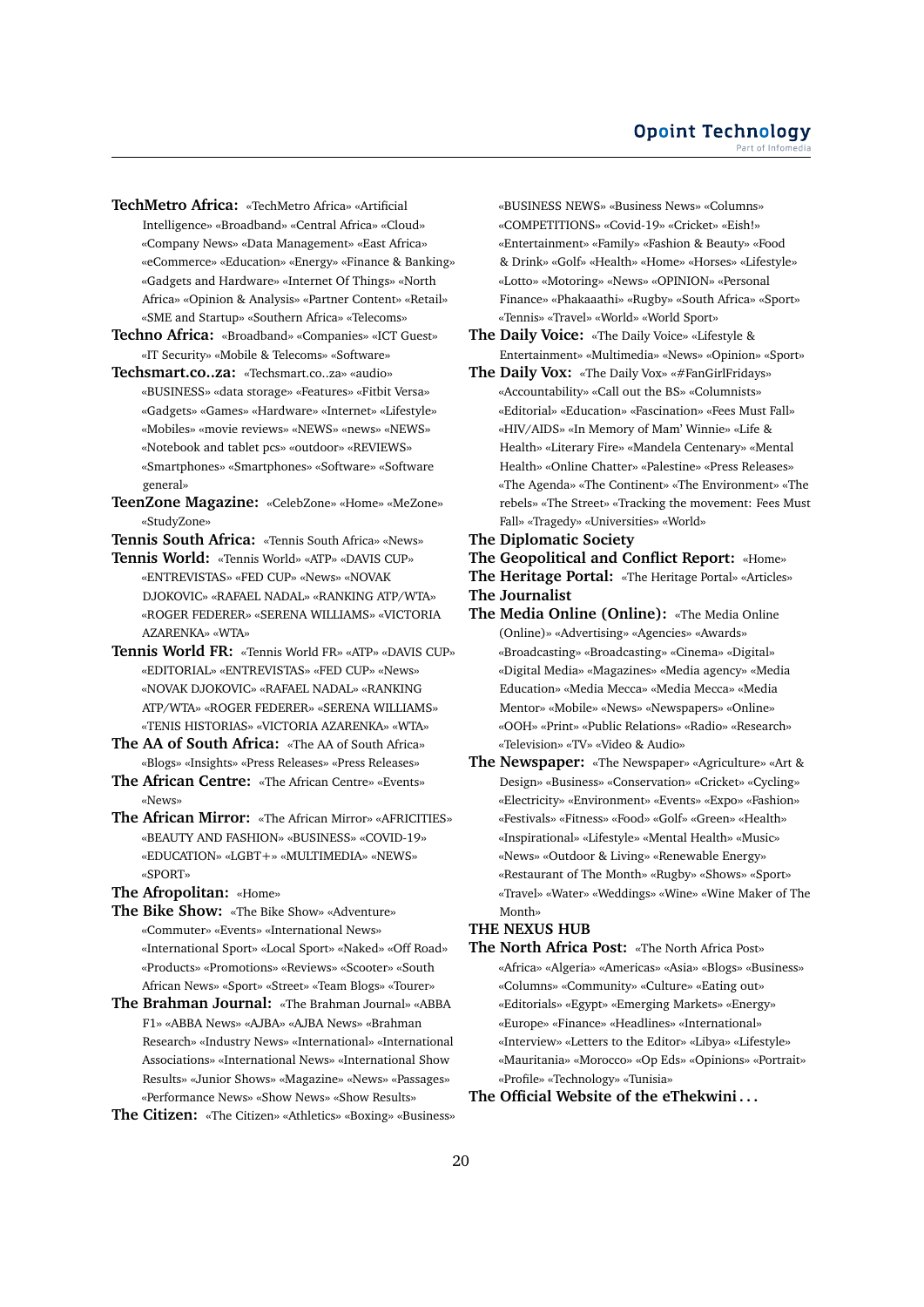- **TechMetro Africa:** «TechMetro Africa» «Artificial Intelligence» «Broadband» «Central Africa» «Cloud» «Company News» «Data Management» «East Africa» «eCommerce» «Education» «Energy» «Finance & Banking» «Gadgets and Hardware» «Internet Of Things» «North Africa» «Opinion & Analysis» «Partner Content» «Retail» «SME and Startup» «Southern Africa» «Telecoms»
- **Techno Africa:** «Broadband» «Companies» «ICT Guest» «IT Security» «Mobile & Telecoms» «Software»
- **Techsmart.co..za:** «Techsmart.co..za» «audio» «BUSINESS» «data storage» «Features» «Fitbit Versa» «Gadgets» «Games» «Hardware» «Internet» «Lifestyle» «Mobiles» «movie reviews» «NEWS» «news» «NEWS» «Notebook and tablet pcs» «outdoor» «REVIEWS» «Smartphones» «Smartphones» «Software» «Software general»
- **TeenZone Magazine:** «CelebZone» «Home» «MeZone» «StudyZone»

**Tennis South Africa:** «Tennis South Africa» «News»

- **Tennis World:** «Tennis World» «ATP» «DAVIS CUP» «ENTREVISTAS» «FED CUP» «News» «NOVAK DJOKOVIC» «RAFAEL NADAL» «RANKING ATP/WTA» «ROGER FEDERER» «SERENA WILLIAMS» «VICTORIA AZARENKA» «WTA»
- **Tennis World FR:** «Tennis World FR» «ATP» «DAVIS CUP» «EDITORIAL» «ENTREVISTAS» «FED CUP» «News» «NOVAK DJOKOVIC» «RAFAEL NADAL» «RANKING ATP/WTA» «ROGER FEDERER» «SERENA WILLIAMS» «TENIS HISTORIAS» «VICTORIA AZARENKA» «WTA»
- **The AA of South Africa:** «The AA of South Africa» «Blogs» «Insights» «Press Releases» «Press Releases»
- **The African Centre:** «The African Centre» «Events» «News»
- **The African Mirror:** «The African Mirror» «AFRICITIES» «BEAUTY AND FASHION» «BUSINESS» «COVID-19» «EDUCATION» «LGBT+» «MULTIMEDIA» «NEWS» «SPORT»
- **The Afropolitan:** «Home»
- **The Bike Show:** «The Bike Show» «Adventure» «Commuter» «Events» «International News» «International Sport» «Local Sport» «Naked» «Off Road» «Products» «Promotions» «Reviews» «Scooter» «South African News» «Sport» «Street» «Team Blogs» «Tourer»
- **The Brahman Journal:** «The Brahman Journal» «ABBA F1» «ABBA News» «AJBA» «AJBA News» «Brahman Research» «Industry News» «International» «International Associations» «International News» «International Show Results» «Junior Shows» «Magazine» «News» «Passages» «Performance News» «Show News» «Show Results»
- **The Citizen:** «The Citizen» «Athletics» «Boxing» «Business»

«BUSINESS NEWS» «Business News» «Columns» «COMPETITIONS» «Covid-19» «Cricket» «Eish!» «Entertainment» «Family» «Fashion & Beauty» «Food & Drink» «Golf» «Health» «Home» «Horses» «Lifestyle» «Lotto» «Motoring» «News» «OPINION» «Personal Finance» «Phakaaathi» «Rugby» «South Africa» «Sport» «Tennis» «Travel» «World» «World Sport»

- **The Daily Voice:** «The Daily Voice» «Lifestyle & Entertainment» «Multimedia» «News» «Opinion» «Sport»
- **The Daily Vox:** «The Daily Vox» «#FanGirlFridays» «Accountability» «Call out the BS» «Columnists» «Editorial» «Education» «Fascination» «Fees Must Fall» «HIV/AIDS» «In Memory of Mam' Winnie» «Life & Health» «Literary Fire» «Mandela Centenary» «Mental Health» «Online Chatter» «Palestine» «Press Releases» «The Agenda» «The Continent» «The Environment» «The rebels» «The Street» «Tracking the movement: Fees Must Fall» «Tragedy» «Universities» «World»
- **The Diplomatic Society**

**The Geopolitical and Conflict Report:** «Home» **The Heritage Portal:** «The Heritage Portal» «Articles» **The Journalist**

- **The Media Online (Online):** «The Media Online (Online)» «Advertising» «Agencies» «Awards» «Broadcasting» «Broadcasting» «Cinema» «Digital» «Digital Media» «Magazines» «Media agency» «Media Education» «Media Mecca» «Media Mecca» «Media Mentor» «Mobile» «News» «Newspapers» «Online» «OOH» «Print» «Public Relations» «Radio» «Research» «Television» «TV» «Video & Audio»
- **The Newspaper:** «The Newspaper» «Agriculture» «Art & Design» «Business» «Conservation» «Cricket» «Cycling» «Electricity» «Environment» «Events» «Expo» «Fashion» «Festivals» «Fitness» «Food» «Golf» «Green» «Health» «Inspirational» «Lifestyle» «Mental Health» «Music» «News» «Outdoor & Living» «Renewable Energy» «Restaurant of The Month» «Rugby» «Shows» «Sport» «Travel» «Water» «Weddings» «Wine» «Wine Maker of The Month»

### **THE NEXUS HUB**

**The North Africa Post:** «The North Africa Post» «Africa» «Algeria» «Americas» «Asia» «Blogs» «Business» «Columns» «Community» «Culture» «Eating out» «Editorials» «Egypt» «Emerging Markets» «Energy» «Europe» «Finance» «Headlines» «International» «Interview» «Letters to the Editor» «Libya» «Lifestyle» «Mauritania» «Morocco» «Op Eds» «Opinions» «Portrait» «Profile» «Technology» «Tunisia»

**The Official Website of the eThekwini . . .**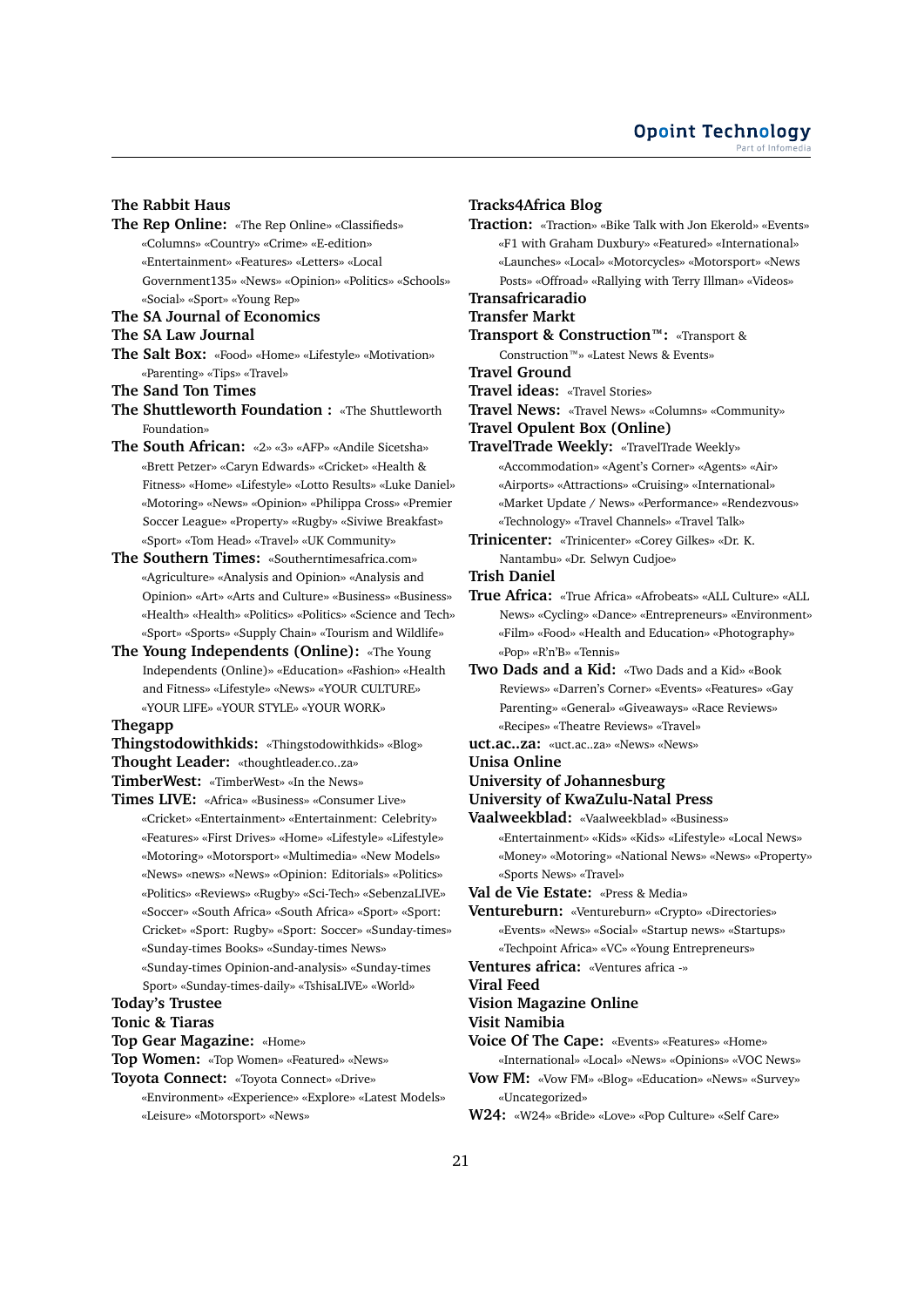### **The Rabbit Haus**

- **The Rep Online:** «The Rep Online» «Classifieds» «Columns» «Country» «Crime» «E-edition» «Entertainment» «Features» «Letters» «Local Government135» «News» «Opinion» «Politics» «Schools» «Social» «Sport» «Young Rep»
- **The SA Journal of Economics**
- **The SA Law Journal**
- **The Salt Box:** «Food» «Home» «Lifestyle» «Motivation» «Parenting» «Tips» «Travel»
- **The Sand Ton Times**
- **The Shuttleworth Foundation :** «The Shuttleworth Foundation»
- **The South African:** «2» «3» «AFP» «Andile Sicetsha» «Brett Petzer» «Caryn Edwards» «Cricket» «Health & Fitness» «Home» «Lifestyle» «Lotto Results» «Luke Daniel» «Motoring» «News» «Opinion» «Philippa Cross» «Premier Soccer League» «Property» «Rugby» «Siviwe Breakfast» «Sport» «Tom Head» «Travel» «UK Community»
- **The Southern Times:** «Southerntimesafrica.com» «Agriculture» «Analysis and Opinion» «Analysis and Opinion» «Art» «Arts and Culture» «Business» «Business» «Health» «Health» «Politics» «Politics» «Science and Tech» «Sport» «Sports» «Supply Chain» «Tourism and Wildlife»
- **The Young Independents (Online):** «The Young Independents (Online)» «Education» «Fashion» «Health and Fitness» «Lifestyle» «News» «YOUR CULTURE» «YOUR LIFE» «YOUR STYLE» «YOUR WORK»

#### **Thegapp**

- **Thingstodowithkids:** «Thingstodowithkids» «Blog» **Thought Leader:** «thoughtleader.co..za»
- **TimberWest:** «TimberWest» «In the News»
- **Times LIVE:** «Africa» «Business» «Consumer Live» «Cricket» «Entertainment» «Entertainment: Celebrity» «Features» «First Drives» «Home» «Lifestyle» «Lifestyle» «Motoring» «Motorsport» «Multimedia» «New Models» «News» «news» «News» «Opinion: Editorials» «Politics» «Politics» «Reviews» «Rugby» «Sci-Tech» «SebenzaLIVE» «Soccer» «South Africa» «South Africa» «Sport» «Sport: Cricket» «Sport: Rugby» «Sport: Soccer» «Sunday-times» «Sunday-times Books» «Sunday-times News» «Sunday-times Opinion-and-analysis» «Sunday-times Sport» «Sunday-times-daily» «TshisaLIVE» «World»

# **Today's Trustee**

#### **Tonic & Tiaras**

- **Top Gear Magazine:** «Home»
- **Top Women:** «Top Women» «Featured» «News»
- **Toyota Connect:** «Toyota Connect» «Drive»
	- «Environment» «Experience» «Explore» «Latest Models» «Leisure» «Motorsport» «News»

### **Tracks4Africa Blog**

- **Traction:** «Traction» «Bike Talk with Jon Ekerold» «Events» «F1 with Graham Duxbury» «Featured» «International» «Launches» «Local» «Motorcycles» «Motorsport» «News Posts» «Offroad» «Rallying with Terry Illman» «Videos» **Transafricaradio Transfer Markt Transport & Construction™:** «Transport & Construction™» «Latest News & Events» **Travel Ground Travel ideas:** «Travel Stories» **Travel News:** «Travel News» «Columns» «Community»
- 
- **Travel Opulent Box (Online) TravelTrade Weekly:** «TravelTrade Weekly» «Accommodation» «Agent's Corner» «Agents» «Air» «Airports» «Attractions» «Cruising» «International» «Market Update / News» «Performance» «Rendezvous» «Technology» «Travel Channels» «Travel Talk»
- **Trinicenter:** «Trinicenter» «Corey Gilkes» «Dr. K.
- Nantambu» «Dr. Selwyn Cudjoe»

**Trish Daniel**

- **True Africa:** «True Africa» «Afrobeats» «ALL Culture» «ALL News» «Cycling» «Dance» «Entrepreneurs» «Environment» «Film» «Food» «Health and Education» «Photography» «Pop» «R'n'B» «Tennis»
- **Two Dads and a Kid:** «Two Dads and a Kid» «Book Reviews» «Darren's Corner» «Events» «Features» «Gay Parenting» «General» «Giveaways» «Race Reviews» «Recipes» «Theatre Reviews» «Travel»
- **uct.ac..za:** «uct.ac..za» «News» «News»
- **Unisa Online**
- **University of Johannesburg**
- **University of KwaZulu-Natal Press**

**Vaalweekblad:** «Vaalweekblad» «Business»

«Entertainment» «Kids» «Kids» «Lifestyle» «Local News» «Money» «Motoring» «National News» «News» «Property» «Sports News» «Travel»

- **Val de Vie Estate:** «Press & Media»
- **Ventureburn:** «Ventureburn» «Crypto» «Directories» «Events» «News» «Social» «Startup news» «Startups» «Techpoint Africa» «VC» «Young Entrepreneurs»
- **Ventures africa:** «Ventures africa -»
- **Viral Feed**

# **Vision Magazine Online**

**Visit Namibia**

- **Voice Of The Cape:** «Events» «Features» «Home»
- «International» «Local» «News» «Opinions» «VOC News» **Vow FM:** «Vow FM» «Blog» «Education» «News» «Survey» «Uncategorized»
- **W24:** «W24» «Bride» «Love» «Pop Culture» «Self Care»